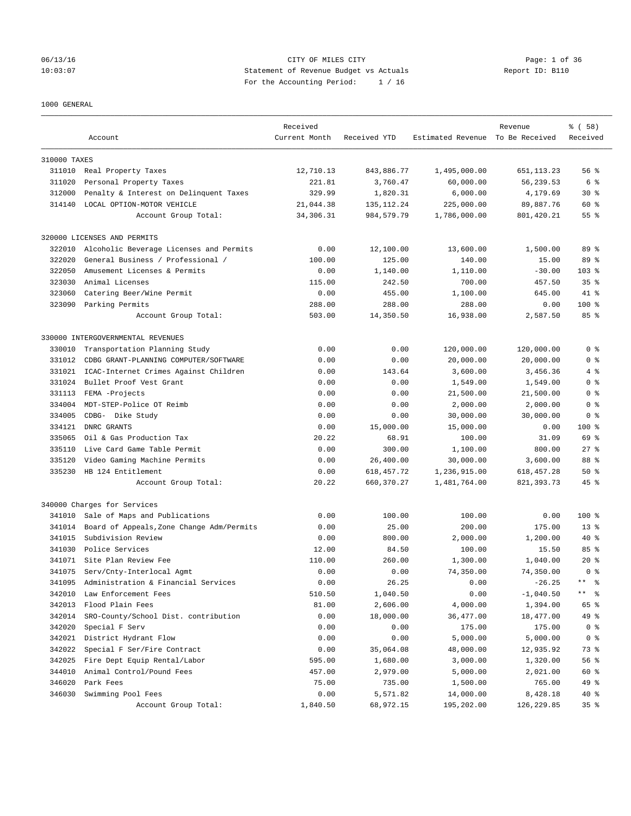### 06/13/16 CITY OF MILES CITY Page: 1 of 36 10:03:07 Statement of Revenue Budget vs Actuals Report ID: B110 For the Accounting Period: 1 / 16

### 1000 GENERAL

|              |                                           | Received      |              |                                  | Revenue      | % (58)              |
|--------------|-------------------------------------------|---------------|--------------|----------------------------------|--------------|---------------------|
|              | Account                                   | Current Month | Received YTD | Estimated Revenue To Be Received |              | Received            |
|              |                                           |               |              |                                  |              |                     |
| 310000 TAXES |                                           |               |              |                                  |              |                     |
|              | 311010 Real Property Taxes                | 12,710.13     | 843,886.77   | 1,495,000.00                     | 651, 113. 23 | 56 %                |
| 311020       | Personal Property Taxes                   | 221.81        | 3,760.47     | 60,000.00                        | 56,239.53    | 6 %                 |
| 312000       | Penalty & Interest on Delinquent Taxes    | 329.99        | 1,820.31     | 6,000.00                         | 4,179.69     | $30*$               |
| 314140       | LOCAL OPTION-MOTOR VEHICLE                | 21,044.38     | 135, 112. 24 | 225,000.00                       | 89,887.76    | 60 %                |
|              | Account Group Total:                      | 34,306.31     | 984, 579. 79 | 1,786,000.00                     | 801,420.21   | 55 %                |
|              | 320000 LICENSES AND PERMITS               |               |              |                                  |              |                     |
| 322010       | Alcoholic Beverage Licenses and Permits   | 0.00          | 12,100.00    | 13,600.00                        | 1,500.00     | 89 %                |
| 322020       | General Business / Professional /         | 100.00        | 125.00       | 140.00                           | 15.00        | 89 %                |
| 322050       | Amusement Licenses & Permits              | 0.00          | 1,140.00     | 1,110.00                         | $-30.00$     | $103$ $%$           |
| 323030       | Animal Licenses                           | 115.00        | 242.50       | 700.00                           | 457.50       | 35 <sup>8</sup>     |
| 323060       | Catering Beer/Wine Permit                 | 0.00          | 455.00       | 1,100.00                         | 645.00       | $41*$               |
| 323090       | Parking Permits                           | 288.00        | 288.00       | 288.00                           | 0.00         | $100$ %             |
|              | Account Group Total:                      | 503.00        | 14,350.50    | 16,938.00                        | 2,587.50     | 85%                 |
|              | 330000 INTERGOVERNMENTAL REVENUES         |               |              |                                  |              |                     |
| 330010       | Transportation Planning Study             | 0.00          | 0.00         | 120,000.00                       | 120,000.00   | 0 <sup>8</sup>      |
| 331012       | CDBG GRANT-PLANNING COMPUTER/SOFTWARE     | 0.00          | 0.00         | 20,000.00                        | 20,000.00    | 0 <sup>8</sup>      |
| 331021       | ICAC-Internet Crimes Against Children     | 0.00          | 143.64       | 3,600.00                         | 3,456.36     | 4%                  |
| 331024       | Bullet Proof Vest Grant                   | 0.00          | 0.00         | 1,549.00                         | 1,549.00     | 0 <sup>8</sup>      |
|              |                                           |               |              |                                  |              |                     |
| 331113       | FEMA -Projects                            | 0.00          | 0.00         | 21,500.00                        | 21,500.00    | 0 %                 |
| 334004       | MDT-STEP-Police OT Reimb                  | 0.00          | 0.00         | 2,000.00                         | 2,000.00     | 0 <sup>8</sup>      |
| 334005       | CDBG- Dike Study                          | 0.00          | 0.00         | 30,000.00                        | 30,000.00    | 0 <sup>8</sup>      |
| 334121       | DNRC GRANTS                               | 0.00          | 15,000.00    | 15,000.00                        | 0.00         | 100 %               |
| 335065       | Oil & Gas Production Tax                  | 20.22         | 68.91        | 100.00                           | 31.09        | 69 %                |
| 335110       | Live Card Game Table Permit               | 0.00          | 300.00       | 1,100.00                         | 800.00       | $27$ $%$            |
| 335120       | Video Gaming Machine Permits              | 0.00          | 26,400.00    | 30,000.00                        | 3,600.00     | 88 %                |
| 335230       | HB 124 Entitlement                        | 0.00          | 618, 457. 72 | 1,236,915.00                     | 618, 457.28  | 50%                 |
|              | Account Group Total:                      | 20.22         | 660, 370. 27 | 1,481,764.00                     | 821, 393. 73 | $45$ %              |
|              | 340000 Charges for Services               |               |              |                                  |              |                     |
| 341010       | Sale of Maps and Publications             | 0.00          | 100.00       | 100.00                           | 0.00         | $100$ %             |
| 341014       | Board of Appeals, Zone Change Adm/Permits | 0.00          | 25.00        | 200.00                           | 175.00       | $13*$               |
| 341015       | Subdivision Review                        | 0.00          | 800.00       | 2,000.00                         | 1,200.00     | 40 %                |
| 341030       | Police Services                           | 12.00         | 84.50        | 100.00                           | 15.50        | 85%                 |
|              | 341071 Site Plan Review Fee               | 110.00        | 260.00       | 1,300.00                         | 1,040.00     | $20*$               |
| 341075       | Serv/Cnty-Interlocal Agmt                 | 0.00          | 0.00         | 74,350.00                        | 74,350.00    | 0 <sup>8</sup>      |
| 341095       | Administration & Financial Services       | 0.00          | 26.25        | 0.00                             | $-26.25$     | $\star\star$<br>- ৡ |
| 342010       | Law Enforcement Fees                      | 510.50        | 1,040.50     | 0.00                             | $-1,040.50$  | $\star\star$<br>ႜ   |
| 342013       | Flood Plain Fees                          | 81.00         | 2,606.00     | 4,000.00                         | 1,394.00     | 65 %                |
| 342014       | SRO-County/School Dist. contribution      | 0.00          | 18,000.00    | 36,477.00                        | 18,477.00    | 49 %                |
| 342020       | Special F Serv                            | 0.00          | 0.00         | 175.00                           | 175.00       | 0 <sup>8</sup>      |
| 342021       | District Hydrant Flow                     | 0.00          | 0.00         | 5,000.00                         | 5,000.00     | 0 <sup>8</sup>      |
| 342022       | Special F Ser/Fire Contract               | 0.00          | 35,064.08    | 48,000.00                        | 12,935.92    | 73 %                |
| 342025       | Fire Dept Equip Rental/Labor              | 595.00        | 1,680.00     | 3,000.00                         | 1,320.00     | 56 %                |
| 344010       | Animal Control/Pound Fees                 | 457.00        | 2,979.00     | 5,000.00                         | 2,021.00     | 60 %                |
| 346020       | Park Fees                                 | 75.00         | 735.00       | 1,500.00                         | 765.00       | 49 %                |
| 346030       | Swimming Pool Fees                        | 0.00          | 5,571.82     | 14,000.00                        | 8,428.18     | 40 %                |
|              | Account Group Total:                      | 1,840.50      | 68,972.15    | 195,202.00                       | 126, 229.85  | 35%                 |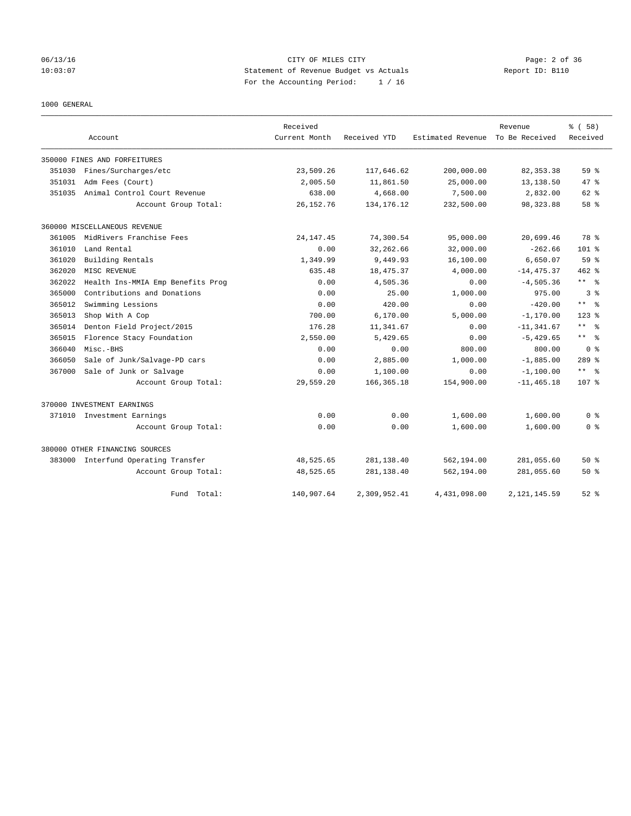## 06/13/16 CITY OF MILES CITY Page: 2 of 36 10:03:07 Statement of Revenue Budget vs Actuals Report ID: B110 For the Accounting Period: 1 / 16

1000 GENERAL

|        |                                     | Received      |              |                   | Revenue        | % (58)                |
|--------|-------------------------------------|---------------|--------------|-------------------|----------------|-----------------------|
|        | Account                             | Current Month | Received YTD | Estimated Revenue | To Be Received | Received              |
|        | 350000 FINES AND FORFEITURES        |               |              |                   |                |                       |
| 351030 | Fines/Surcharges/etc                | 23,509.26     | 117,646.62   | 200,000.00        | 82, 353.38     | 59 <sup>8</sup>       |
| 351031 | Adm Fees (Court)                    | 2,005.50      | 11,861.50    | 25,000.00         | 13,138.50      | 47 %                  |
| 351035 | Animal Control Court Revenue        | 638.00        | 4,668.00     | 7,500.00          | 2,832.00       | 62 %                  |
|        | Account Group Total:                | 26, 152. 76   | 134, 176. 12 | 232,500.00        | 98, 323.88     | 58 %                  |
|        | 360000 MISCELLANEOUS REVENUE        |               |              |                   |                |                       |
| 361005 | MidRivers Franchise Fees            | 24, 147. 45   | 74,300.54    | 95,000.00         | 20,699.46      | 78 %                  |
| 361010 | Land Rental                         | 0.00          | 32, 262.66   | 32,000.00         | $-262.66$      | $101$ %               |
| 361020 | Building Rentals                    | 1,349.99      | 9,449.93     | 16,100.00         | 6,650.07       | 59 %                  |
| 362020 | MISC REVENUE                        | 635.48        | 18,475.37    | 4,000.00          | $-14, 475.37$  | $462$ %               |
| 362022 | Health Ins-MMIA Emp Benefits Prog   | 0.00          | 4,505.36     | 0.00              | $-4, 505.36$   | ** %                  |
| 365000 | Contributions and Donations         | 0.00          | 25.00        | 1,000.00          | 975.00         | 3 <sup>8</sup>        |
| 365012 | Swimming Lessions                   | 0.00          | 420.00       | 0.00              | $-420.00$      | $\star$ $\star$<br>ু≳ |
| 365013 | Shop With A Cop                     | 700.00        | 6,170.00     | 5,000.00          | $-1, 170.00$   | $123$ $%$             |
| 365014 | Denton Field Project/2015           | 176.28        | 11,341.67    | 0.00              | $-11, 341.67$  | $***$ $=$             |
| 365015 | Florence Stacy Foundation           | 2,550.00      | 5,429.65     | 0.00              | $-5,429.65$    | $***$ $ -$            |
| 366040 | Misc.-BHS                           | 0.00          | 0.00         | 800.00            | 800.00         | 0 <sup>8</sup>        |
| 366050 | Sale of Junk/Salvage-PD cars        | 0.00          | 2,885.00     | 1,000.00          | $-1,885.00$    | $289$ $%$             |
| 367000 | Sale of Junk or Salvage             | 0.00          | 1,100.00     | 0.00              | $-1,100.00$    | $***$ $=$             |
|        | Account Group Total:                | 29,559.20     | 166, 365. 18 | 154,900.00        | $-11, 465.18$  | 107 <sub>8</sub>      |
|        | 370000 INVESTMENT EARNINGS          |               |              |                   |                |                       |
|        | 371010 Investment Earnings          | 0.00          | 0.00         | 1,600.00          | 1,600.00       | 0 <sup>8</sup>        |
|        | Account Group Total:                | 0.00          | 0.00         | 1,600.00          | 1,600.00       | 0 <sup>8</sup>        |
|        | 380000 OTHER FINANCING SOURCES      |               |              |                   |                |                       |
|        | 383000 Interfund Operating Transfer | 48,525.65     | 281, 138.40  | 562,194.00        | 281,055.60     | $50*$                 |
|        | Account Group Total:                | 48,525.65     | 281, 138.40  | 562,194.00        | 281,055.60     | $50*$                 |
|        | Fund Total:                         | 140,907.64    | 2,309,952.41 | 4,431,098.00      | 2, 121, 145.59 | $52$ $%$              |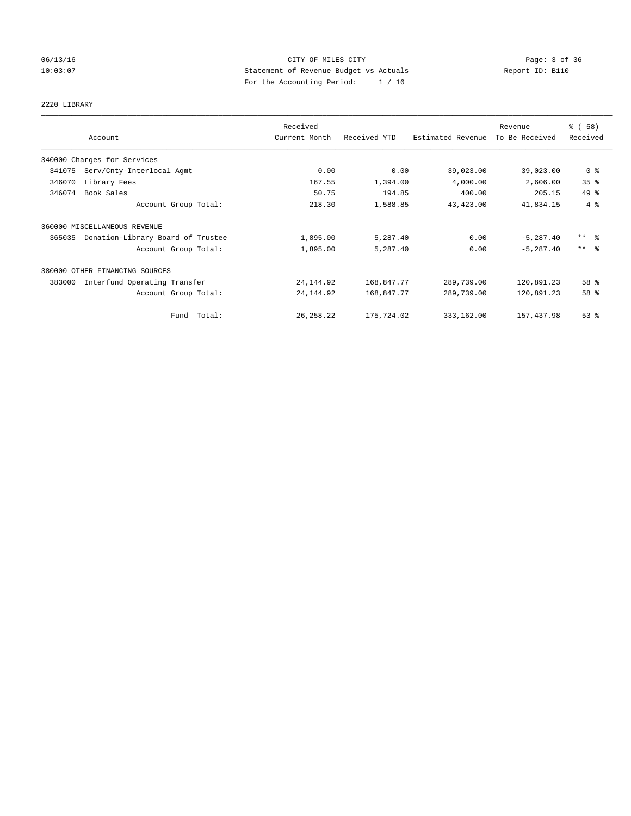## 06/13/16 CITY OF MILES CITY Page: 3 of 36 10:03:07 Statement of Revenue Budget vs Actuals Report ID: B110 For the Accounting Period: 1 / 16

## 2220 LIBRARY

|        |                                   | Received      |              |                   | Revenue        | % (58)              |
|--------|-----------------------------------|---------------|--------------|-------------------|----------------|---------------------|
|        | Account                           | Current Month | Received YTD | Estimated Revenue | To Be Received | Received            |
|        | 340000 Charges for Services       |               |              |                   |                |                     |
| 341075 | Serv/Cnty-Interlocal Agmt         | 0.00          | 0.00         | 39,023.00         | 39,023.00      | 0 <sup>8</sup>      |
| 346070 | Library Fees                      | 167.55        | 1,394.00     | 4,000.00          | 2,606.00       | 35%                 |
| 346074 | Book Sales                        | 50.75         | 194.85       | 400.00            | 205.15         | 49.8                |
|        | Account Group Total:              | 218.30        | 1,588.85     | 43, 423.00        | 41,834.15      | 4%                  |
|        | 360000 MISCELLANEOUS REVENUE      |               |              |                   |                |                     |
| 365035 | Donation-Library Board of Trustee | 1,895.00      | 5,287.40     | 0.00              | $-5, 287.40$   | $***$ $\frac{6}{5}$ |
|        | Account Group Total:              | 1,895.00      | 5,287.40     | 0.00              | $-5, 287.40$   | $***$ $\frac{6}{5}$ |
|        | 380000 OTHER FINANCING SOURCES    |               |              |                   |                |                     |
| 383000 | Interfund Operating Transfer      | 24, 144.92    | 168,847.77   | 289,739.00        | 120,891.23     | 58 %                |
|        | Account Group Total:              | 24, 144.92    | 168,847.77   | 289,739.00        | 120,891.23     | 58 %                |
|        | Fund Total:                       | 26, 258. 22   | 175,724.02   | 333,162.00        | 157, 437.98    | 53%                 |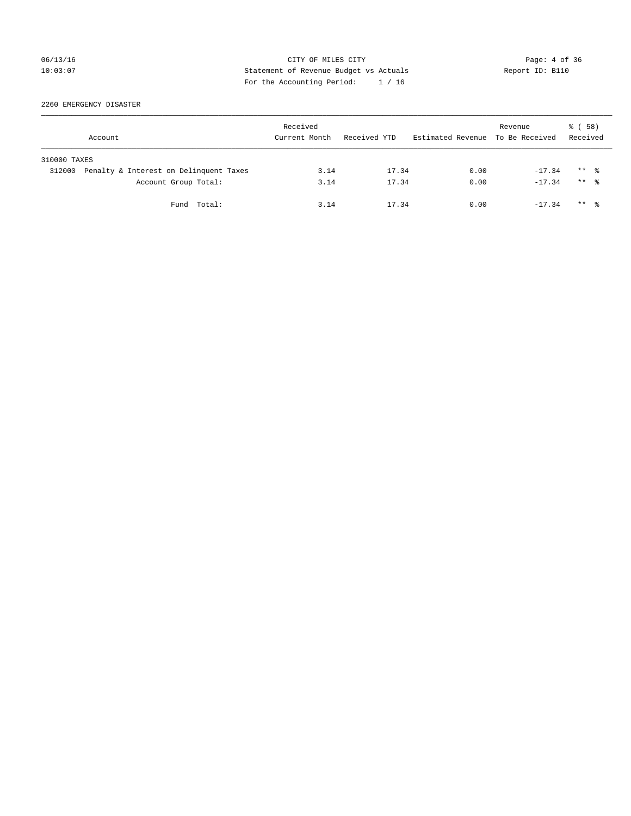## 06/13/16 CITY OF MILES CITY Page: 4 of 36 10:03:07 Statement of Revenue Budget vs Actuals Report ID: B110 For the Accounting Period: 1 / 16

2260 EMERGENCY DISASTER

|              | Account                                | Received<br>Current Month | Received YTD | Estimated Revenue To Be Received | Revenue  | 8 ( 58 )<br>Received |
|--------------|----------------------------------------|---------------------------|--------------|----------------------------------|----------|----------------------|
| 310000 TAXES |                                        |                           |              |                                  |          |                      |
| 312000       | Penalty & Interest on Delinquent Taxes | 3.14                      | 17.34        | 0.00                             | $-17.34$ | $***$ $\frac{6}{10}$ |
|              | Account Group Total:                   | 3.14                      | 17.34        | 0.00                             | $-17.34$ | $***$ $\frac{6}{10}$ |
|              | Fund Total:                            | 3.14                      | 17.34        | 0.00                             | $-17.34$ | $***$ $\frac{6}{10}$ |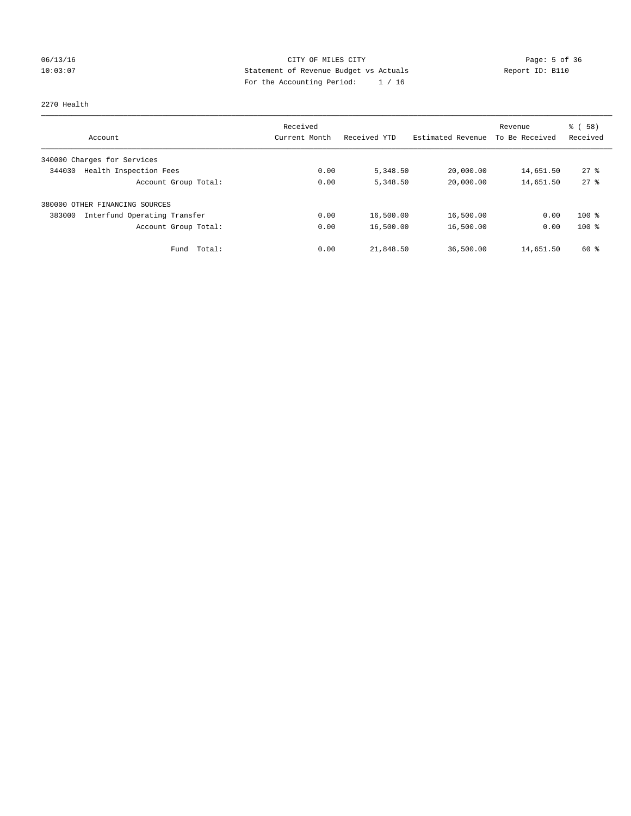## 06/13/16 CITY OF MILES CITY Page: 5 of 36 10:03:07 Statement of Revenue Budget vs Actuals Report ID: B110 For the Accounting Period: 1 / 16

### 2270 Health

|                                        | Received      |              |                   | Revenue        | % (58)             |
|----------------------------------------|---------------|--------------|-------------------|----------------|--------------------|
| Account                                | Current Month | Received YTD | Estimated Revenue | To Be Received | Received           |
| 340000 Charges for Services            |               |              |                   |                |                    |
| Health Inspection Fees<br>344030       | 0.00          | 5,348.50     | 20,000.00         | 14,651.50      | $27$ $\frac{6}{3}$ |
| Account Group Total:                   | 0.00          | 5,348.50     | 20,000.00         | 14,651.50      | $27$ $%$           |
| 380000 OTHER FINANCING SOURCES         |               |              |                   |                |                    |
| Interfund Operating Transfer<br>383000 | 0.00          | 16,500.00    | 16,500.00         | 0.00           | $100*$             |
| Account Group Total:                   | 0.00          | 16,500.00    | 16,500.00         | 0.00           | $100*$             |
| Total:<br>Fund                         | 0.00          | 21,848.50    | 36,500.00         | 14,651.50      | 60 %               |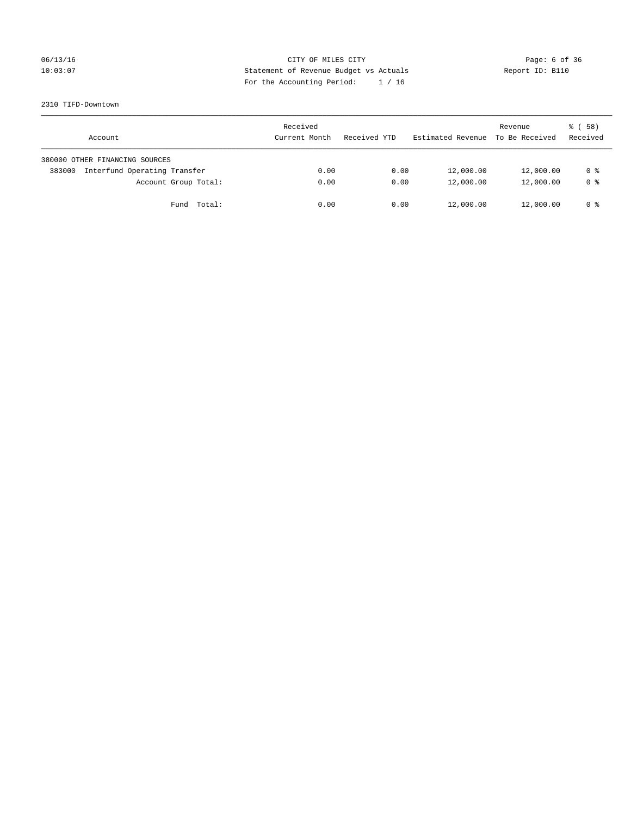## 06/13/16 CITY OF MILES CITY Page: 6 of 36 10:03:07 Statement of Revenue Budget vs Actuals Report ID: B110 For the Accounting Period: 1 / 16

### 2310 TIFD-Downtown

| Account                                | Received<br>Current Month | Received YTD | Estimated Revenue | Revenue<br>To Be Received | 8 ( 58 )<br>Received |
|----------------------------------------|---------------------------|--------------|-------------------|---------------------------|----------------------|
| 380000 OTHER FINANCING SOURCES         |                           |              |                   |                           |                      |
| Interfund Operating Transfer<br>383000 | 0.00                      | 0.00         | 12,000.00         | 12,000.00                 | 0 %                  |
| Account Group Total:                   | 0.00                      | 0.00         | 12,000.00         | 12,000.00                 | 0 <sup>8</sup>       |
| Total:<br>Fund                         | 0.00                      | 0.00         | 12,000.00         | 12,000.00                 | 0 %                  |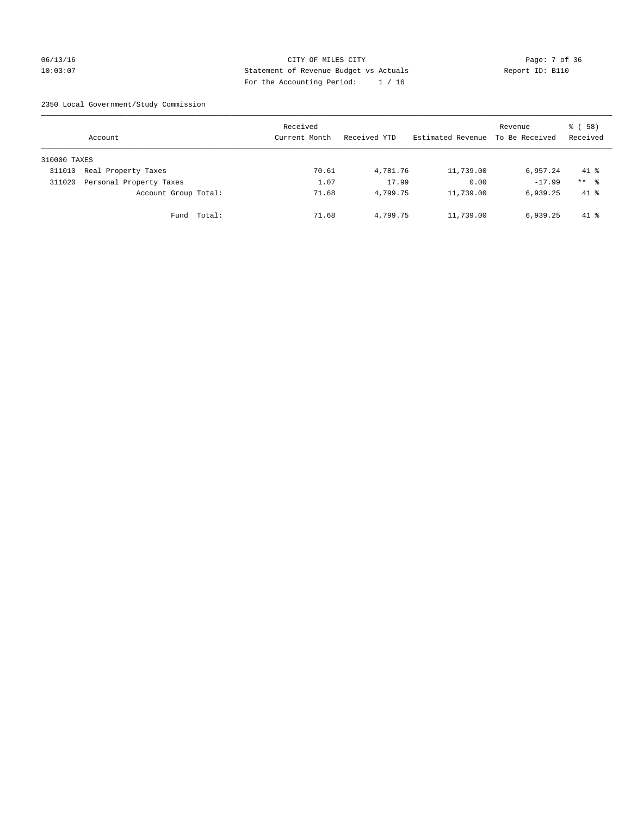## 06/13/16 CITY OF MILES CITY Page: 7 of 36 10:03:07 Statement of Revenue Budget vs Actuals Report ID: B110 For the Accounting Period: 1 / 16

2350 Local Government/Study Commission

|              | Account                 |             | Received<br>Current Month |       | Received YTD | Estimated Revenue | Revenue<br>To Be Received | 8 ( 58 )<br>Received |
|--------------|-------------------------|-------------|---------------------------|-------|--------------|-------------------|---------------------------|----------------------|
| 310000 TAXES |                         |             |                           |       |              |                   |                           |                      |
| 311010       | Real Property Taxes     |             |                           | 70.61 | 4,781.76     | 11,739.00         | 6,957.24                  | $41*$                |
| 311020       | Personal Property Taxes |             |                           | 1.07  | 17.99        | 0.00              | $-17.99$                  | $***$ %              |
|              | Account Group Total:    |             |                           | 71.68 | 4,799.75     | 11,739.00         | 6,939.25                  | $41*$                |
|              |                         | Fund Total: |                           | 71.68 | 4,799.75     | 11,739.00         | 6,939.25                  | $41*$                |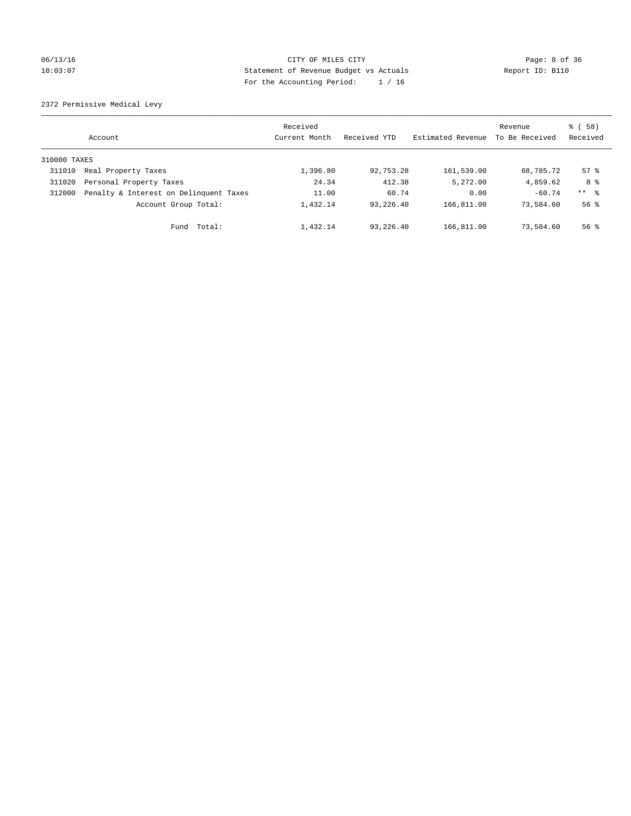## 06/13/16 CITY OF MILES CITY Page: 8 of 36 10:03:07 Statement of Revenue Budget vs Actuals Report ID: B110 For the Accounting Period: 1 / 16

2372 Permissive Medical Levy

|              | Account                                | Received<br>Current Month | Received YTD | Estimated Revenue | Revenue<br>To Be Received | 8 ( 58 )<br>Received |
|--------------|----------------------------------------|---------------------------|--------------|-------------------|---------------------------|----------------------|
| 310000 TAXES |                                        |                           |              |                   |                           |                      |
| 311010       | Real Property Taxes                    | 1,396.80                  | 92,753.28    | 161,539.00        | 68,785.72                 | $57$ $\frac{6}{3}$   |
| 311020       | Personal Property Taxes                | 24.34                     | 412.38       | 5,272.00          | 4,859.62                  | 8 %                  |
| 312000       | Penalty & Interest on Delinquent Taxes | 11.00                     | 60.74        | 0.00              | $-60.74$                  | $***$ $\frac{6}{5}$  |
|              | Account Group Total:                   | 1,432.14                  | 93,226.40    | 166,811.00        | 73,584.60                 | $56$ $\frac{6}{3}$   |
|              | Fund Total:                            | 1,432.14                  | 93,226.40    | 166,811.00        | 73,584.60                 | $56$ $\frac{6}{3}$   |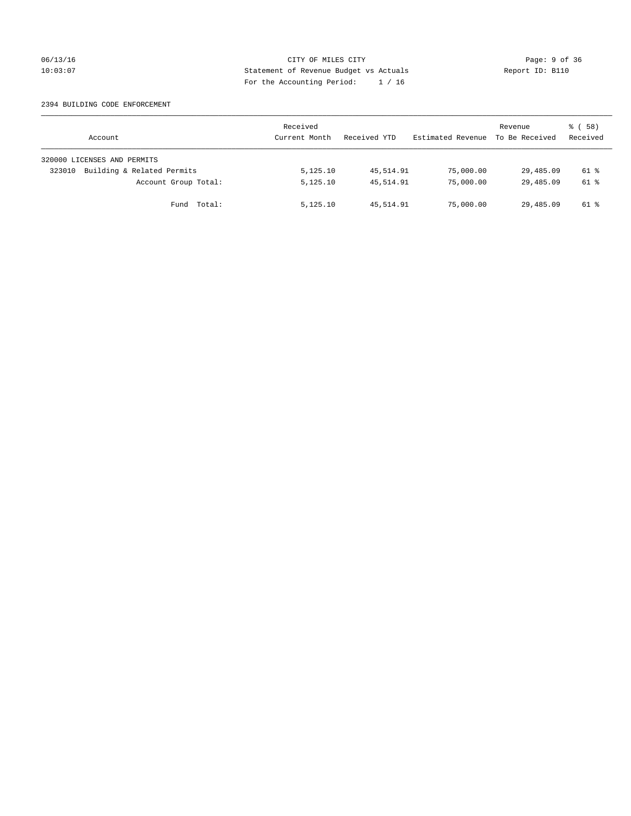### 06/13/16 CITY OF MILES CITY Page: 9 of 36 10:03:07 Statement of Revenue Budget vs Actuals Report ID: B110 For the Accounting Period: 1 / 16

### 2394 BUILDING CODE ENFORCEMENT

| Account                              | Received<br>Current Month | Received YTD | Estimated Revenue | Revenue<br>To Be Received | 8 ( 58 )<br>Received |
|--------------------------------------|---------------------------|--------------|-------------------|---------------------------|----------------------|
| 320000 LICENSES AND PERMITS          |                           |              |                   |                           |                      |
| Building & Related Permits<br>323010 | 5,125.10                  | 45,514.91    | 75,000.00         | 29,485.09                 | 61 %                 |
| Account Group Total:                 | 5,125.10                  | 45,514.91    | 75,000.00         | 29,485.09                 | 61 %                 |
| Fund Total:                          | 5,125.10                  | 45,514.91    | 75,000.00         | 29,485.09                 | 61 %                 |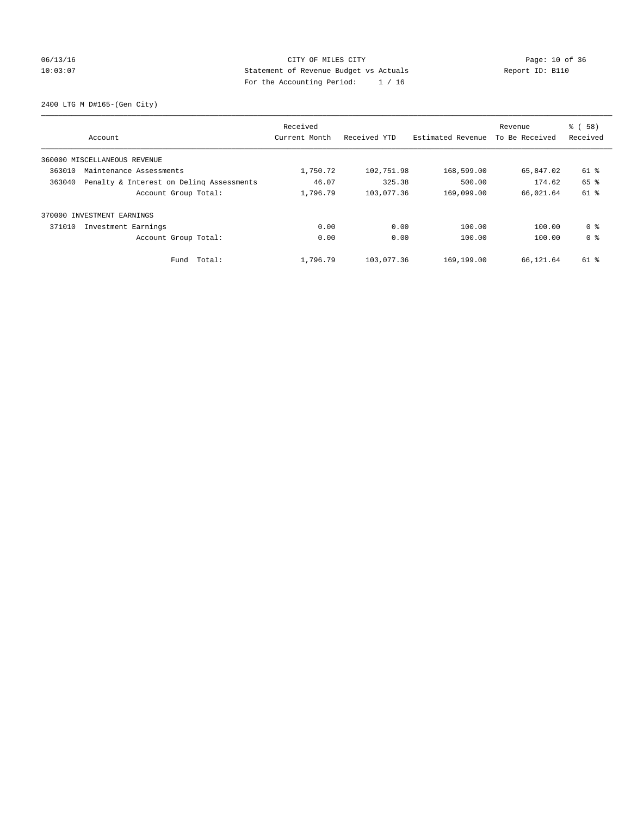## 06/13/16 Page: 10 of 36 10:03:07 Statement of Revenue Budget vs Actuals Report ID: B110 For the Accounting Period: 1 / 16

2400 LTG M D#165-(Gen City)

|                                                    | Received      |              |                   | Revenue        | % (58)         |
|----------------------------------------------------|---------------|--------------|-------------------|----------------|----------------|
| Account                                            | Current Month | Received YTD | Estimated Revenue | To Be Received | Received       |
| 360000 MISCELLANEOUS REVENUE                       |               |              |                   |                |                |
| 363010<br>Maintenance Assessments                  | 1,750.72      | 102,751.98   | 168,599.00        | 65,847.02      | 61 %           |
| 363040<br>Penalty & Interest on Deling Assessments | 46.07         | 325.38       | 500.00            | 174.62         | 65 %           |
| Account Group Total:                               | 1,796.79      | 103,077.36   | 169,099.00        | 66,021.64      | 61 %           |
| 370000 INVESTMENT EARNINGS                         |               |              |                   |                |                |
| 371010<br>Investment Earnings                      | 0.00          | 0.00         | 100.00            | 100.00         | 0 %            |
| Account Group Total:                               | 0.00          | 0.00         | 100.00            | 100.00         | 0 <sup>8</sup> |
| Total:<br>Fund                                     | 1,796.79      | 103,077.36   | 169,199.00        | 66,121.64      | 61 %           |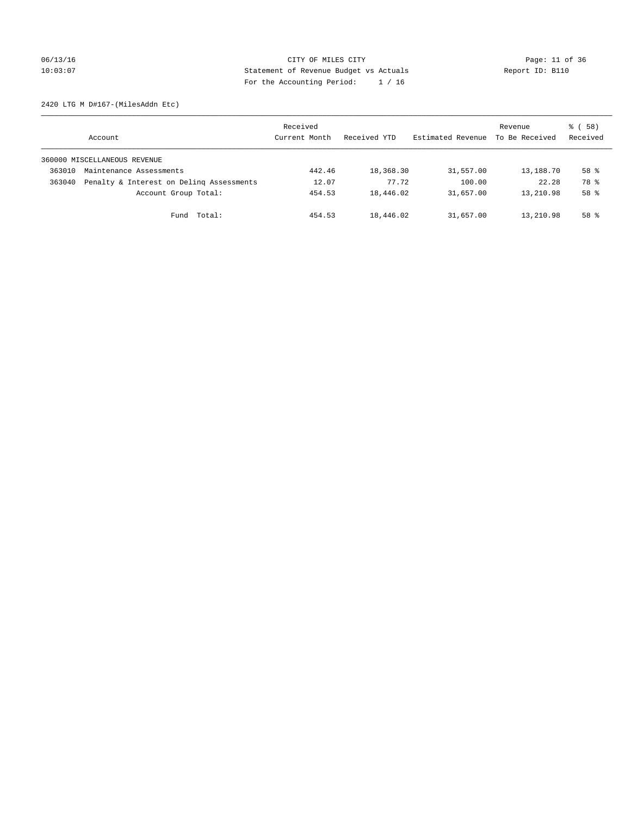## 06/13/16 Page: 11 of 36 10:03:07 Statement of Revenue Budget vs Actuals Report ID: B110 For the Accounting Period: 1 / 16

2420 LTG M D#167-(MilesAddn Etc)

|        | Account                                  | Received<br>Current Month | Received YTD | Estimated Revenue | Revenue<br>To Be Received | 8 ( 58 )<br>Received |
|--------|------------------------------------------|---------------------------|--------------|-------------------|---------------------------|----------------------|
|        | 360000 MISCELLANEOUS REVENUE             |                           |              |                   |                           |                      |
| 363010 | Maintenance Assessments                  | 442.46                    | 18,368.30    | 31,557.00         | 13,188.70                 | 58 %                 |
| 363040 | Penalty & Interest on Deling Assessments | 12.07                     | 77.72        | 100.00            | 22.28                     | 78 %                 |
|        | Account Group Total:                     | 454.53                    | 18,446.02    | 31,657.00         | 13,210.98                 | 58 %                 |
|        | Fund Total:                              | 454.53                    | 18,446.02    | 31,657.00         | 13,210.98                 | $58*$                |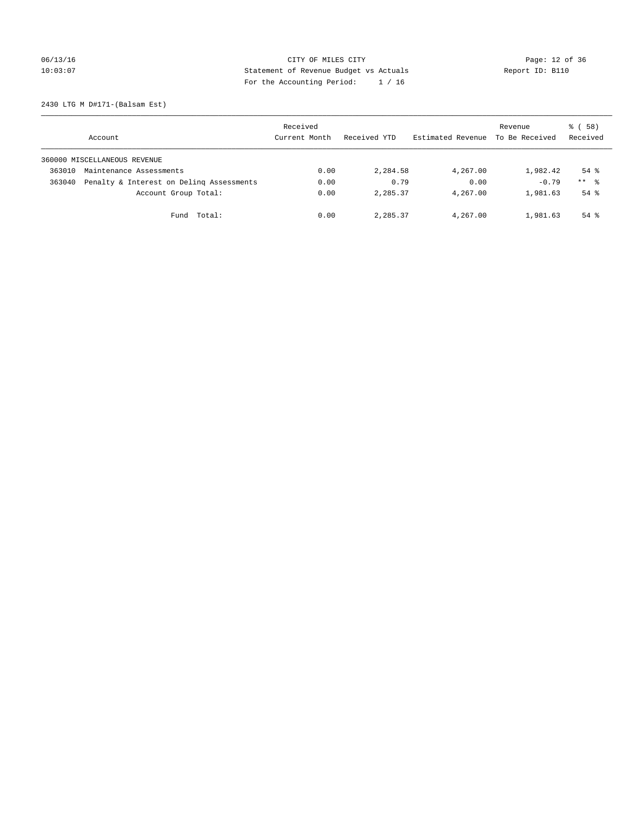## 06/13/16 Page: 12 of 36 10:03:07 Statement of Revenue Budget vs Actuals Report ID: B110 For the Accounting Period: 1 / 16

2430 LTG M D#171-(Balsam Est)

|        | Account                                  | Received<br>Current Month | Received YTD | Estimated Revenue | Revenue<br>To Be Received | 8 ( 58 )<br>Received |
|--------|------------------------------------------|---------------------------|--------------|-------------------|---------------------------|----------------------|
|        | 360000 MISCELLANEOUS REVENUE             |                           |              |                   |                           |                      |
| 363010 | Maintenance Assessments                  | 0.00                      | 2,284.58     | 4,267.00          | 1,982.42                  | $54$ $\frac{6}{3}$   |
| 363040 | Penalty & Interest on Deling Assessments | 0.00                      | 0.79         | 0.00              | $-0.79$                   | $***$ $\frac{6}{5}$  |
|        | Account Group Total:                     | 0.00                      | 2,285.37     | 4,267.00          | 1,981.63                  | $54$ $\frac{6}{3}$   |
|        | Fund Total:                              | 0.00                      | 2,285.37     | 4,267.00          | 1,981.63                  | $54$ $\frac{6}{3}$   |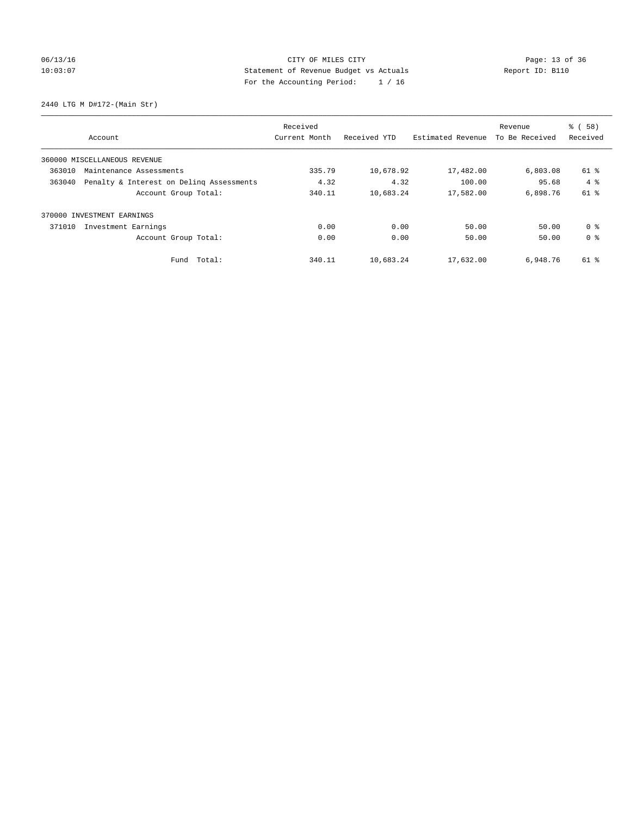## 06/13/16 Page: 13 of 36 10:03:07 Statement of Revenue Budget vs Actuals Report ID: B110 For the Accounting Period: 1 / 16

2440 LTG M D#172-(Main Str)

|        |                                          | Received      |              |                   | Revenue        | % (58)         |
|--------|------------------------------------------|---------------|--------------|-------------------|----------------|----------------|
|        | Account                                  | Current Month | Received YTD | Estimated Revenue | To Be Received | Received       |
|        | 360000 MISCELLANEOUS REVENUE             |               |              |                   |                |                |
| 363010 | Maintenance Assessments                  | 335.79        | 10,678.92    | 17,482.00         | 6,803.08       | 61 %           |
| 363040 | Penalty & Interest on Deling Assessments | 4.32          | 4.32         | 100.00            | 95.68          | $4 \text{ }$   |
|        | Account Group Total:                     | 340.11        | 10,683.24    | 17,582.00         | 6,898.76       | 61 %           |
| 370000 | INVESTMENT EARNINGS                      |               |              |                   |                |                |
| 371010 | Investment Earnings                      | 0.00          | 0.00         | 50.00             | 50.00          | 0 <sup>8</sup> |
|        | Account Group Total:                     | 0.00          | 0.00         | 50.00             | 50.00          | 0 <sup>8</sup> |
|        | Fund Total:                              | 340.11        | 10,683.24    | 17,632.00         | 6,948.76       | 61 %           |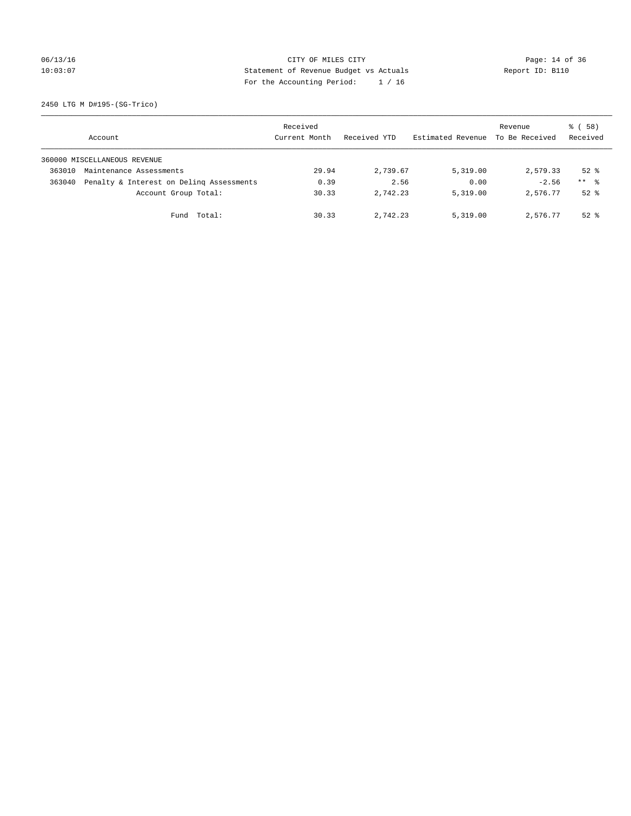## 06/13/16 Page: 14 of 36 10:03:07 Statement of Revenue Budget vs Actuals Report ID: B110 For the Accounting Period: 1 / 16

2450 LTG M D#195-(SG-Trico)

|        | Account                                  | Received<br>Current Month | Received YTD | Estimated Revenue | Revenue<br>To Be Received | 8 ( 58 )<br>Received |
|--------|------------------------------------------|---------------------------|--------------|-------------------|---------------------------|----------------------|
|        | 360000 MISCELLANEOUS REVENUE             |                           |              |                   |                           |                      |
| 363010 | Maintenance Assessments                  | 29.94                     | 2,739.67     | 5,319.00          | 2,579.33                  | $52*$                |
| 363040 | Penalty & Interest on Deling Assessments | 0.39                      | 2.56         | 0.00              | $-2.56$                   | $***$ $\frac{6}{5}$  |
|        | Account Group Total:                     | 30.33                     | 2.742.23     | 5,319.00          | 2,576.77                  | $52*$                |
|        | Fund Total:                              | 30.33                     | 2,742.23     | 5,319.00          | 2,576.77                  | $52$ $\frac{6}{3}$   |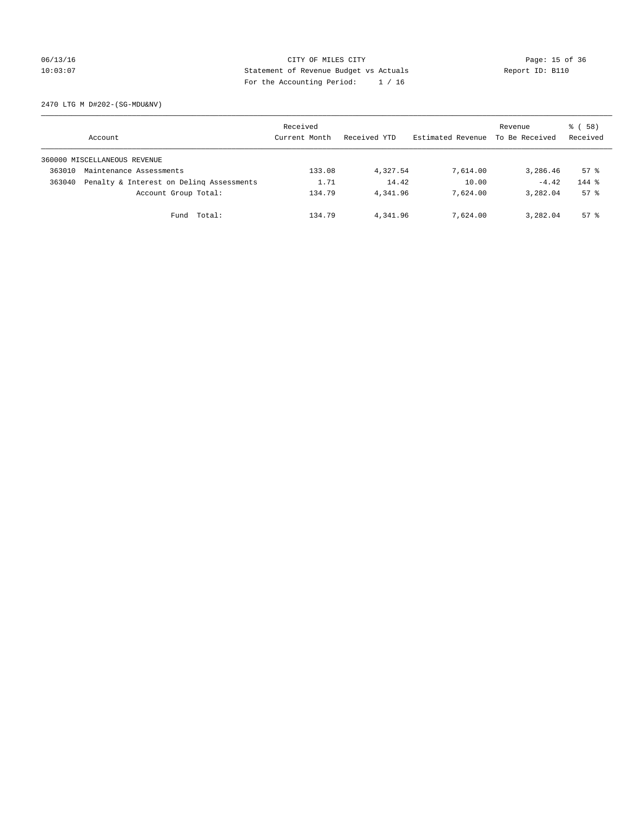## 06/13/16 Page: 15 of 36 10:03:07 Statement of Revenue Budget vs Actuals Report ID: B110 For the Accounting Period: 1 / 16

2470 LTG M D#202-(SG-MDU&NV)

|        | Account                                  | Received<br>Current Month | Received YTD | Estimated Revenue | Revenue<br>To Be Received | 8 ( 58 )<br>Received |
|--------|------------------------------------------|---------------------------|--------------|-------------------|---------------------------|----------------------|
|        | 360000 MISCELLANEOUS REVENUE             |                           |              |                   |                           |                      |
| 363010 | Maintenance Assessments                  | 133.08                    | 4,327.54     | 7,614.00          | 3,286.46                  | 57%                  |
| 363040 | Penalty & Interest on Deling Assessments | 1.71                      | 14.42        | 10.00             | $-4.42$                   | $144$ $%$            |
|        | Account Group Total:                     | 134.79                    | 4,341.96     | 7,624,00          | 3,282.04                  | 57%                  |
|        | Fund Total:                              | 134.79                    | 4,341.96     | 7,624.00          | 3,282.04                  | 57%                  |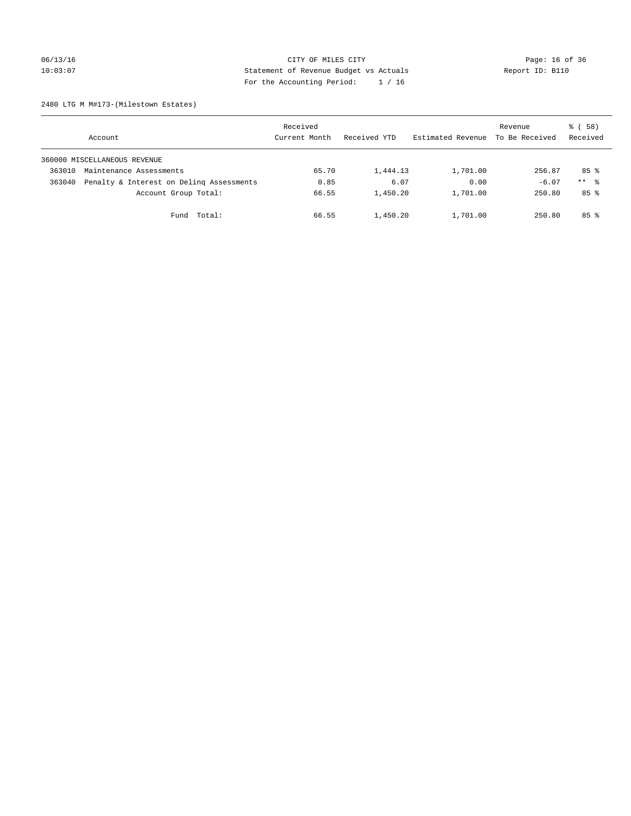## 06/13/16 Page: 16 of 36 10:03:07 Statement of Revenue Budget vs Actuals Report ID: B110 For the Accounting Period: 1 / 16

2480 LTG M M#173-(Milestown Estates)

|        | Account                                  | Received<br>Current Month | Received YTD | Estimated Revenue | Revenue<br>To Be Received | 8 ( 58 )<br>Received |
|--------|------------------------------------------|---------------------------|--------------|-------------------|---------------------------|----------------------|
|        | 360000 MISCELLANEOUS REVENUE             |                           |              |                   |                           |                      |
| 363010 | Maintenance Assessments                  | 65.70                     | 1,444.13     | 1,701.00          | 256.87                    | 85%                  |
| 363040 | Penalty & Interest on Deling Assessments | 0.85                      | 6.07         | 0.00              | $-6.07$                   | $***$ %              |
|        | Account Group Total:                     | 66.55                     | 1,450.20     | 1,701.00          | 250.80                    | 85%                  |
|        | Fund Total:                              | 66.55                     | 1,450.20     | 1,701.00          | 250.80                    | 85%                  |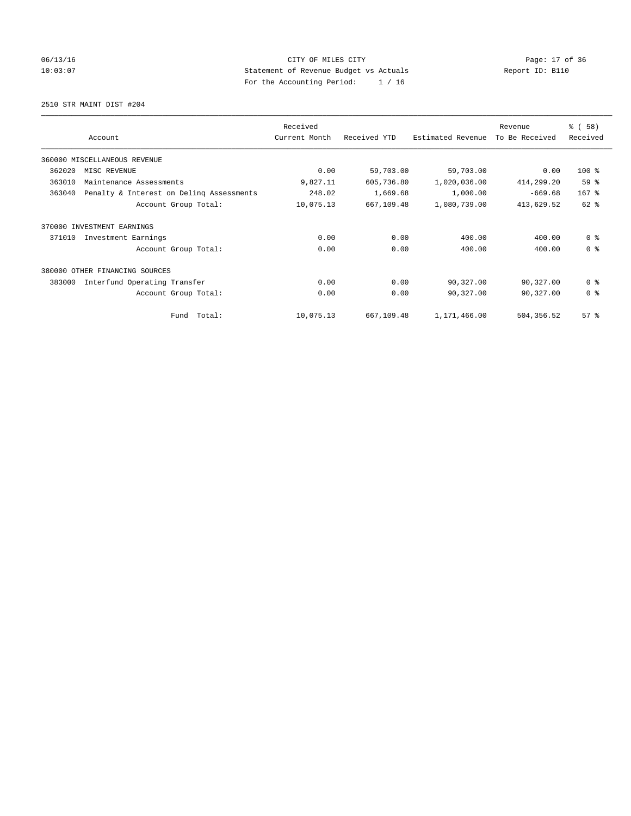## 06/13/16 Page: 17 of 36 10:03:07 Statement of Revenue Budget vs Actuals Report ID: B110 For the Accounting Period: 1 / 16

2510 STR MAINT DIST #204

|        |                                          | Received      |              |                   | Revenue        | % (58)         |
|--------|------------------------------------------|---------------|--------------|-------------------|----------------|----------------|
|        | Account                                  | Current Month | Received YTD | Estimated Revenue | To Be Received | Received       |
|        | 360000 MISCELLANEOUS REVENUE             |               |              |                   |                |                |
| 362020 | MISC REVENUE                             | 0.00          | 59,703.00    | 59,703.00         | 0.00           | 100 %          |
| 363010 | Maintenance Assessments                  | 9,827.11      | 605,736.80   | 1,020,036.00      | 414,299.20     | 59 %           |
| 363040 | Penalty & Interest on Deling Assessments | 248.02        | 1,669.68     | 1,000.00          | $-669.68$      | $167$ %        |
|        | Account Group Total:                     | 10,075.13     | 667,109.48   | 1,080,739.00      | 413,629.52     | 62 %           |
| 370000 | INVESTMENT EARNINGS                      |               |              |                   |                |                |
| 371010 | Investment Earnings                      | 0.00          | 0.00         | 400.00            | 400.00         | 0 <sup>8</sup> |
|        | Account Group Total:                     | 0.00          | 0.00         | 400.00            | 400.00         | 0 <sup>8</sup> |
| 380000 | OTHER FINANCING SOURCES                  |               |              |                   |                |                |
| 383000 | Interfund Operating Transfer             | 0.00          | 0.00         | 90,327.00         | 90,327.00      | 0 <sup>8</sup> |
|        | Account Group Total:                     | 0.00          | 0.00         | 90,327.00         | 90,327.00      | 0 <sup>8</sup> |
|        | Total:<br>Fund                           | 10,075.13     | 667,109.48   | 1,171,466.00      | 504,356.52     | $57*$          |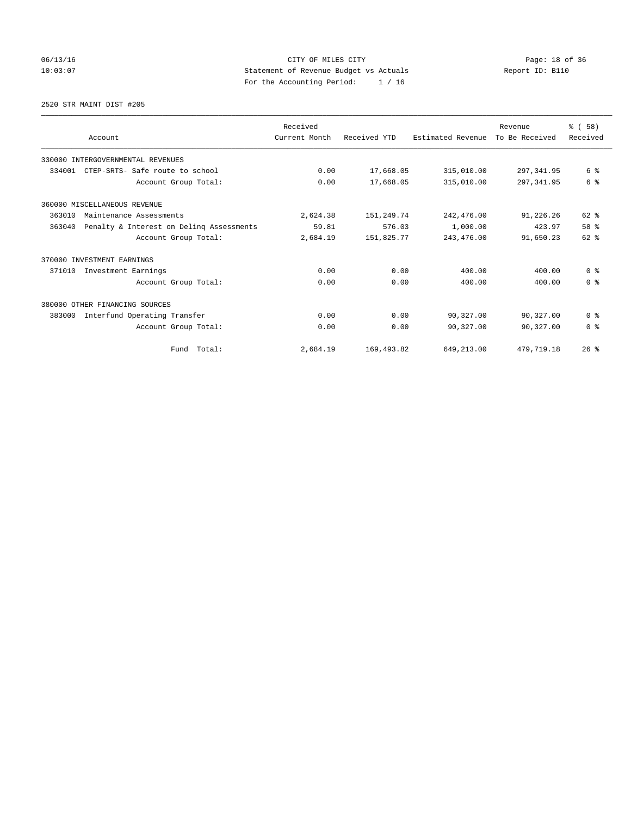06/13/16 Page: 18 of 36 10:03:07 Statement of Revenue Budget vs Actuals Report ID: B110 For the Accounting Period: 1 / 16

### 2520 STR MAINT DIST #205

|        | Account                                  | Received<br>Current Month | Received YTD | Estimated Revenue | Revenue<br>To Be Received | % (58)<br>Received |
|--------|------------------------------------------|---------------------------|--------------|-------------------|---------------------------|--------------------|
|        | 330000 INTERGOVERNMENTAL REVENUES        |                           |              |                   |                           |                    |
| 334001 | CTEP-SRTS- Safe route to school          | 0.00                      | 17,668.05    | 315,010.00        | 297, 341.95               | 6 %                |
|        | Account Group Total:                     | 0.00                      | 17,668.05    | 315,010.00        | 297, 341.95               | 6 %                |
|        | 360000 MISCELLANEOUS REVENUE             |                           |              |                   |                           |                    |
| 363010 | Maintenance Assessments                  | 2,624.38                  | 151,249.74   | 242,476.00        | 91,226.26                 | $62$ $%$           |
| 363040 | Penalty & Interest on Deling Assessments | 59.81                     | 576.03       | 1,000.00          | 423.97                    | 58 %               |
|        | Account Group Total:                     | 2,684.19                  | 151,825.77   | 243,476.00        | 91,650.23                 | $62$ $%$           |
|        | 370000 INVESTMENT EARNINGS               |                           |              |                   |                           |                    |
| 371010 | Investment Earnings                      | 0.00                      | 0.00         | 400.00            | 400.00                    | 0 <sup>8</sup>     |
|        | Account Group Total:                     | 0.00                      | 0.00         | 400.00            | 400.00                    | 0 <sup>8</sup>     |
|        | 380000 OTHER FINANCING SOURCES           |                           |              |                   |                           |                    |
| 383000 | Interfund Operating Transfer             | 0.00                      | 0.00         | 90,327.00         | 90,327.00                 | 0 <sup>8</sup>     |
|        | Account Group Total:                     | 0.00                      | 0.00         | 90,327.00         | 90,327.00                 | 0 <sup>8</sup>     |
|        | Fund Total:                              | 2,684.19                  | 169, 493.82  | 649,213.00        | 479,719.18                | 26%                |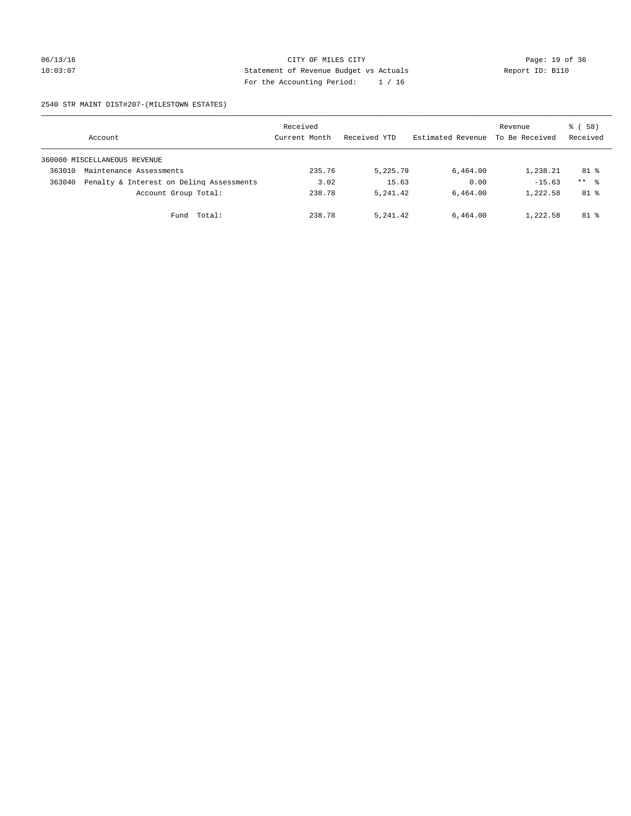### 06/13/16 Page: 19 of 36 10:03:07 Statement of Revenue Budget vs Actuals Report ID: B110 For the Accounting Period: 1 / 16

2540 STR MAINT DIST#207-(MILESTOWN ESTATES)

|        | Account                                  | Received<br>Current Month | Received YTD | Estimated Revenue | Revenue<br>To Be Received | 8 ( 58 )<br>Received |
|--------|------------------------------------------|---------------------------|--------------|-------------------|---------------------------|----------------------|
|        | 360000 MISCELLANEOUS REVENUE             |                           |              |                   |                           |                      |
| 363010 | Maintenance Assessments                  | 235.76                    | 5,225.79     | 6,464.00          | 1,238.21                  | $81$ %               |
| 363040 | Penalty & Interest on Deling Assessments | 3.02                      | 15.63        | 0.00              | $-15.63$                  | $***$ %              |
|        | Account Group Total:                     | 238.78                    | 5, 241, 42   | 6,464.00          | 1,222.58                  | $81$ %               |
|        | Total:<br>Fund                           | 238.78                    | 5,241.42     | 6,464.00          | 1,222.58                  | $81$ %               |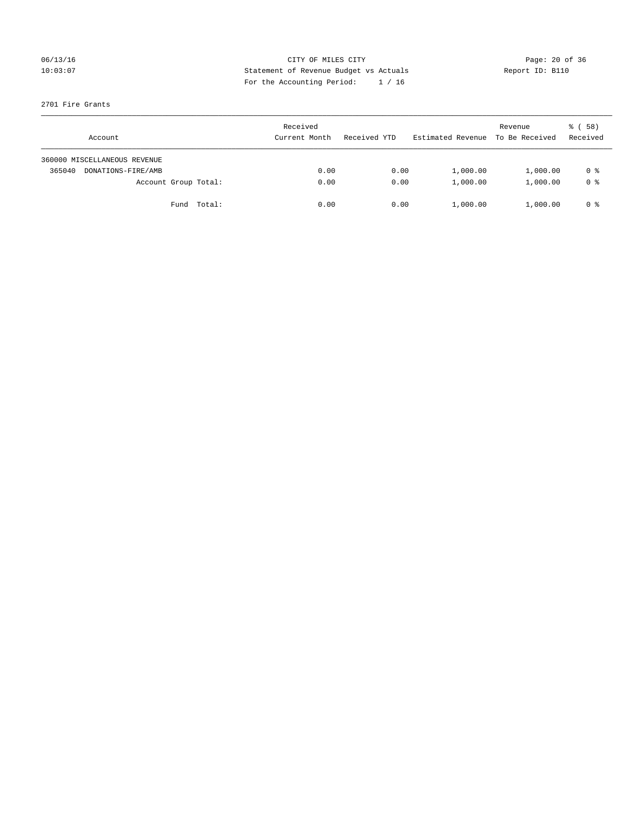## 06/13/16 Page: 20 of 36 10:03:07 Statement of Revenue Budget vs Actuals Report ID: B110 For the Accounting Period: 1 / 16

## 2701 Fire Grants

| Account                      | Received<br>Current Month | Received YTD | Estimated Revenue | Revenue<br>To Be Received | 8 ( 58 )<br>Received |
|------------------------------|---------------------------|--------------|-------------------|---------------------------|----------------------|
| 360000 MISCELLANEOUS REVENUE |                           |              |                   |                           |                      |
| 365040<br>DONATIONS-FIRE/AMB | 0.00                      | 0.00         | 1,000.00          | 1,000.00                  | 0 %                  |
| Account Group Total:         | 0.00                      | 0.00         | 1,000.00          | 1,000.00                  | 0 %                  |
| Fund Total:                  | 0.00                      | 0.00         | 1,000.00          | 1,000.00                  | 0 %                  |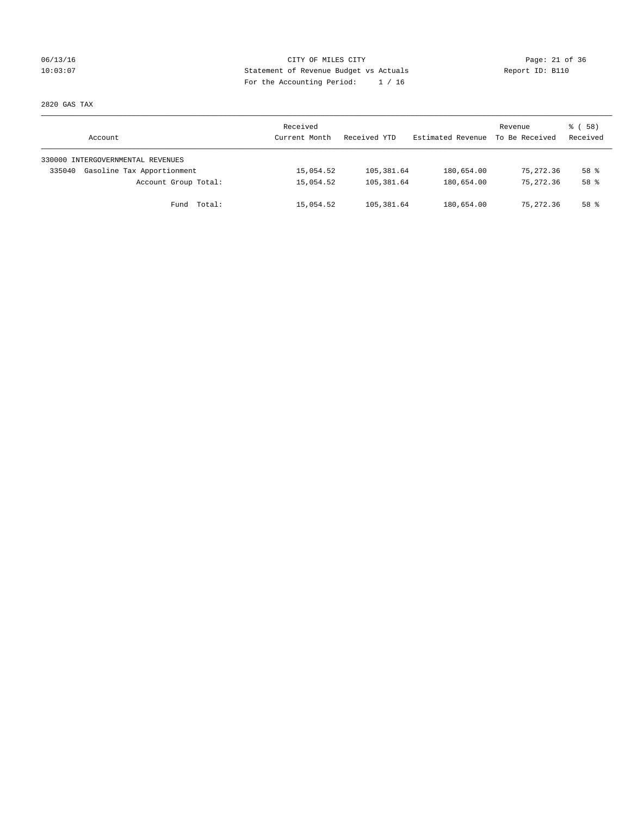## 06/13/16 Page: 21 of 36 10:03:07 Statement of Revenue Budget vs Actuals Report ID: B110 For the Accounting Period: 1 / 16

2820 GAS TAX

| Account                              | Received<br>Current Month | Received YTD | Estimated Revenue | Revenue<br>To Be Received | 8 ( 58 )<br>Received |
|--------------------------------------|---------------------------|--------------|-------------------|---------------------------|----------------------|
| 330000 INTERGOVERNMENTAL REVENUES    |                           |              |                   |                           |                      |
| Gasoline Tax Apportionment<br>335040 | 15,054.52                 | 105,381.64   | 180,654.00        | 75,272.36                 | 58 <sup>8</sup>      |
| Account Group Total:                 | 15,054.52                 | 105, 381, 64 | 180,654.00        | 75, 272, 36               | 58 <sup>8</sup>      |
| Fund Total:                          | 15,054.52                 | 105,381.64   | 180,654.00        | 75,272.36                 | 58 %                 |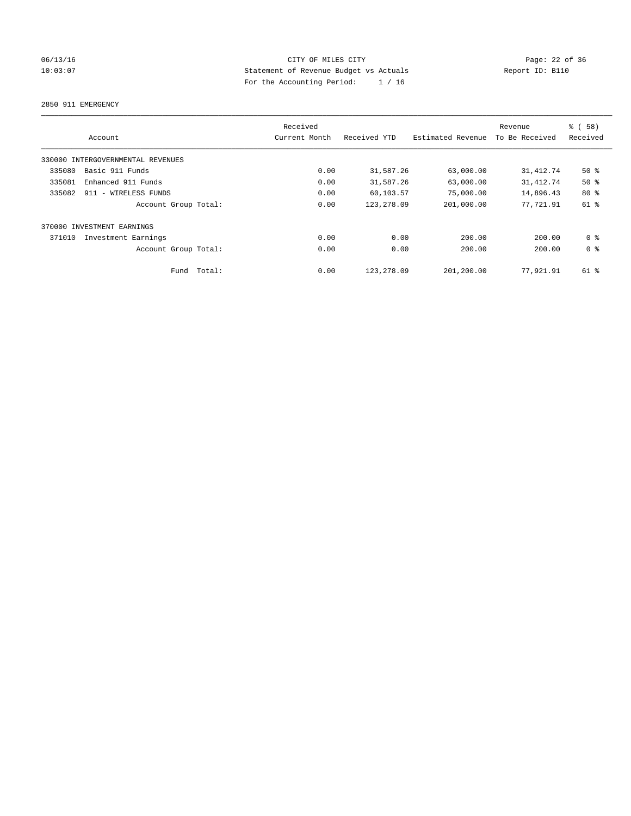## 06/13/16 Page: 22 of 36 10:03:07 Statement of Revenue Budget vs Actuals Report ID: B110 For the Accounting Period: 1 / 16

2850 911 EMERGENCY

| Account                           |                      | Received<br>Current Month | Received YTD | Estimated Revenue | Revenue<br>To Be Received | % (58)<br>Received |
|-----------------------------------|----------------------|---------------------------|--------------|-------------------|---------------------------|--------------------|
| 330000 INTERGOVERNMENTAL REVENUES |                      |                           |              |                   |                           |                    |
| Basic 911 Funds<br>335080         |                      | 0.00                      | 31,587.26    | 63,000.00         | 31, 412.74                | $50*$              |
| 335081<br>Enhanced 911 Funds      |                      | 0.00                      | 31,587.26    | 63,000.00         | 31, 412.74                | 50%                |
| 335082<br>911 - WIRELESS FUNDS    |                      | 0.00                      | 60,103.57    | 75,000.00         | 14,896.43                 | $80*$              |
|                                   | Account Group Total: | 0.00                      | 123, 278.09  | 201,000.00        | 77,721.91                 | 61 %               |
| 370000 INVESTMENT EARNINGS        |                      |                           |              |                   |                           |                    |
| 371010<br>Investment Earnings     |                      | 0.00                      | 0.00         | 200.00            | 200.00                    | 0 <sup>8</sup>     |
|                                   | Account Group Total: | 0.00                      | 0.00         | 200.00            | 200.00                    | 0 <sup>8</sup>     |
|                                   | Total:<br>Fund       | 0.00                      | 123, 278.09  | 201,200.00        | 77,921.91                 | $61*$              |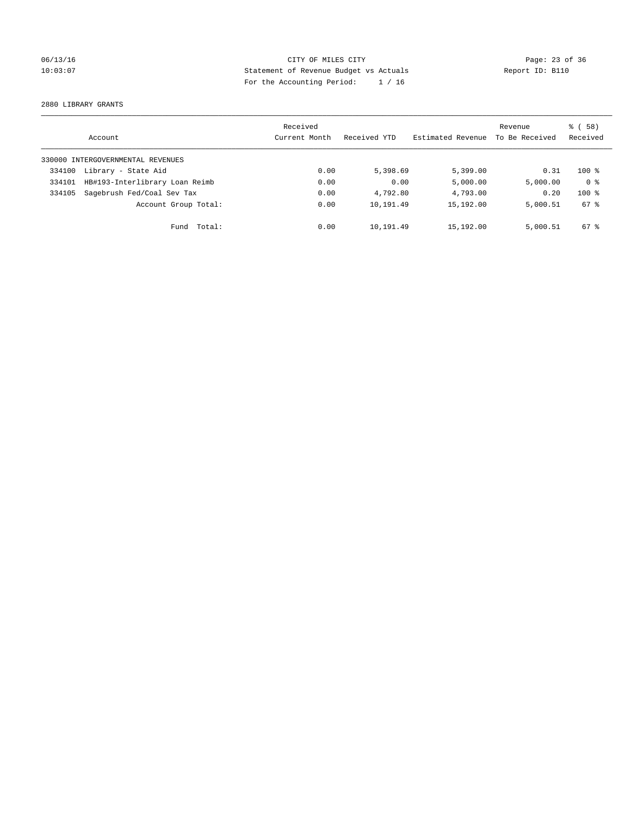## 06/13/16 Page: 23 of 36 10:03:07 Statement of Revenue Budget vs Actuals Report ID: B110 For the Accounting Period: 1 / 16

2880 LIBRARY GRANTS

|        | Account                           | Received<br>Current Month | Received YTD | Estimated Revenue | Revenue<br>To Be Received | % (58)<br>Received |
|--------|-----------------------------------|---------------------------|--------------|-------------------|---------------------------|--------------------|
|        | 330000 INTERGOVERNMENTAL REVENUES |                           |              |                   |                           |                    |
| 334100 | Library - State Aid               | 0.00                      | 5,398.69     | 5,399.00          | 0.31                      | $100*$             |
| 334101 | HB#193-Interlibrary Loan Reimb    | 0.00                      | 0.00         | 5,000.00          | 5,000.00                  | 0 <sup>8</sup>     |
| 334105 | Sagebrush Fed/Coal Sev Tax        | 0.00                      | 4,792.80     | 4,793.00          | 0.20                      | $100*$             |
|        | Account Group Total:              | 0.00                      | 10,191.49    | 15,192.00         | 5,000.51                  | 67 %               |
|        | Fund Total:                       | 0.00                      | 10,191.49    | 15,192.00         | 5,000.51                  | $67*$              |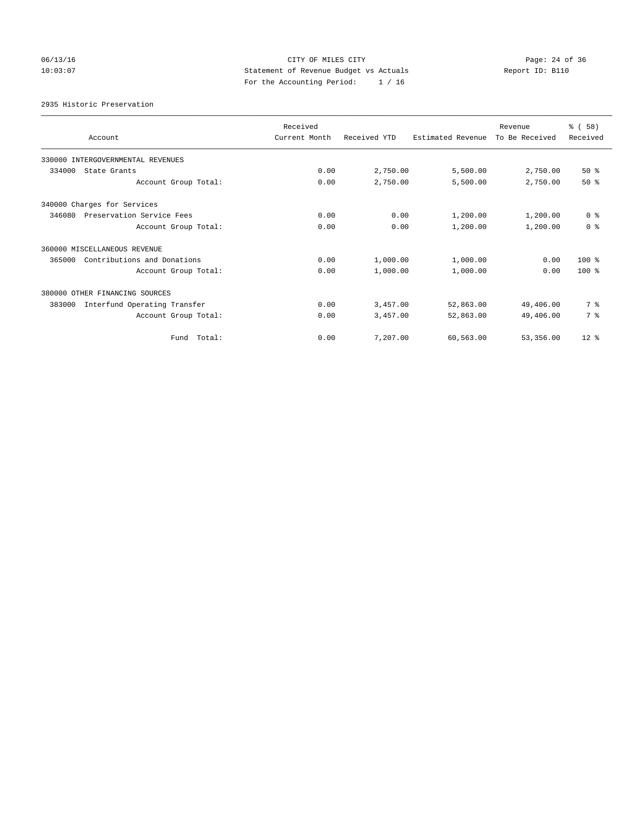## 06/13/16 Page: 24 of 36 10:03:07 Statement of Revenue Budget vs Actuals Report ID: B110 For the Accounting Period: 1 / 16

2935 Historic Preservation

| Account                                | Received<br>Current Month | Received YTD | Estimated Revenue | Revenue<br>To Be Received | % (58)<br>Received |
|----------------------------------------|---------------------------|--------------|-------------------|---------------------------|--------------------|
| 330000 INTERGOVERNMENTAL REVENUES      |                           |              |                   |                           |                    |
| 334000<br>State Grants                 | 0.00                      | 2,750.00     | 5,500.00          | 2,750.00                  | 50%                |
| Account Group Total:                   | 0.00                      | 2,750.00     | 5,500.00          | 2,750.00                  | $50*$              |
| 340000 Charges for Services            |                           |              |                   |                           |                    |
| 346080<br>Preservation Service Fees    | 0.00                      | 0.00         | 1,200.00          | 1,200.00                  | 0 <sup>8</sup>     |
| Account Group Total:                   | 0.00                      | 0.00         | 1,200.00          | 1,200.00                  | 0 <sup>8</sup>     |
| 360000 MISCELLANEOUS REVENUE           |                           |              |                   |                           |                    |
| Contributions and Donations<br>365000  | 0.00                      | 1,000.00     | 1,000.00          | 0.00                      | $100*$             |
| Account Group Total:                   | 0.00                      | 1,000.00     | 1,000.00          | 0.00                      | $100*$             |
| 380000 OTHER FINANCING SOURCES         |                           |              |                   |                           |                    |
| Interfund Operating Transfer<br>383000 | 0.00                      | 3,457.00     | 52,863.00         | 49,406.00                 | 7 %                |
| Account Group Total:                   | 0.00                      | 3,457.00     | 52,863.00         | 49,406.00                 | 7 %                |
| Fund Total:                            | 0.00                      | 7,207.00     | 60,563.00         | 53,356.00                 | $12*$              |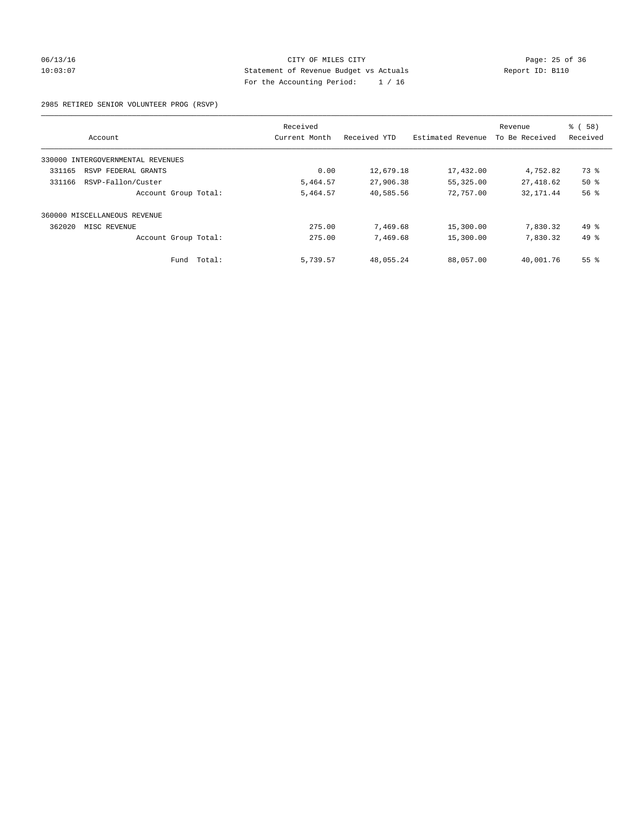### 06/13/16 Page: 25 of 36 10:03:07 Statement of Revenue Budget vs Actuals Report ID: B110 For the Accounting Period: 1 / 16

### 2985 RETIRED SENIOR VOLUNTEER PROG (RSVP)

|                                      | Received      |              |                   | Revenue        | % (58)          |
|--------------------------------------|---------------|--------------|-------------------|----------------|-----------------|
| Account                              | Current Month | Received YTD | Estimated Revenue | To Be Received | Received        |
| INTERGOVERNMENTAL REVENUES<br>330000 |               |              |                   |                |                 |
| 331165<br>RSVP FEDERAL GRANTS        | 0.00          | 12,679.18    | 17,432.00         | 4,752.82       | 73 %            |
| RSVP-Fallon/Custer<br>331166         | 5,464.57      | 27,906.38    | 55,325.00         | 27, 418.62     | 50%             |
| Account Group Total:                 | 5,464.57      | 40,585.56    | 72,757.00         | 32, 171.44     | 56 <sup>8</sup> |
| 360000 MISCELLANEOUS REVENUE         |               |              |                   |                |                 |
| 362020<br>MISC REVENUE               | 275.00        | 7,469.68     | 15,300.00         | 7,830.32       | 49 %            |
| Account Group Total:                 | 275.00        | 7,469.68     | 15,300.00         | 7,830.32       | 49 %            |
| Fund Total:                          | 5,739.57      | 48,055.24    | 88,057.00         | 40,001.76      | 55 <sup>8</sup> |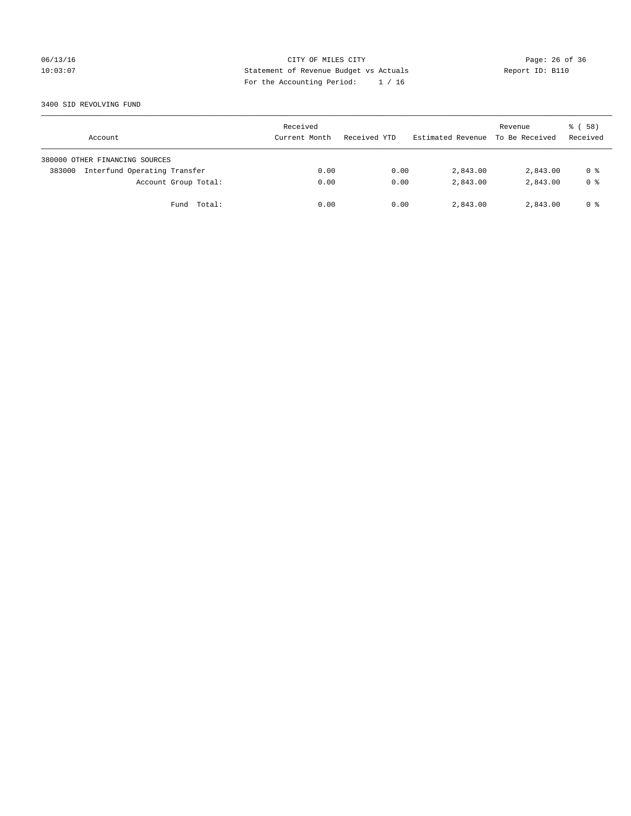## 06/13/16 Page: 26 of 36 10:03:07 Statement of Revenue Budget vs Actuals Report ID: B110 For the Accounting Period: 1 / 16

### 3400 SID REVOLVING FUND

| Account                                | Received<br>Current Month | Received YTD | Estimated Revenue | Revenue<br>To Be Received | 8 ( 58 )<br>Received |
|----------------------------------------|---------------------------|--------------|-------------------|---------------------------|----------------------|
| 380000 OTHER FINANCING SOURCES         |                           |              |                   |                           |                      |
| Interfund Operating Transfer<br>383000 | 0.00                      | 0.00         | 2,843.00          | 2,843.00                  | 0 %                  |
| Account Group Total:                   | 0.00                      | 0.00         | 2,843.00          | 2,843.00                  | 0 <sup>8</sup>       |
| Fund Total:                            | 0.00                      | 0.00         | 2,843.00          | 2,843.00                  | 0 %                  |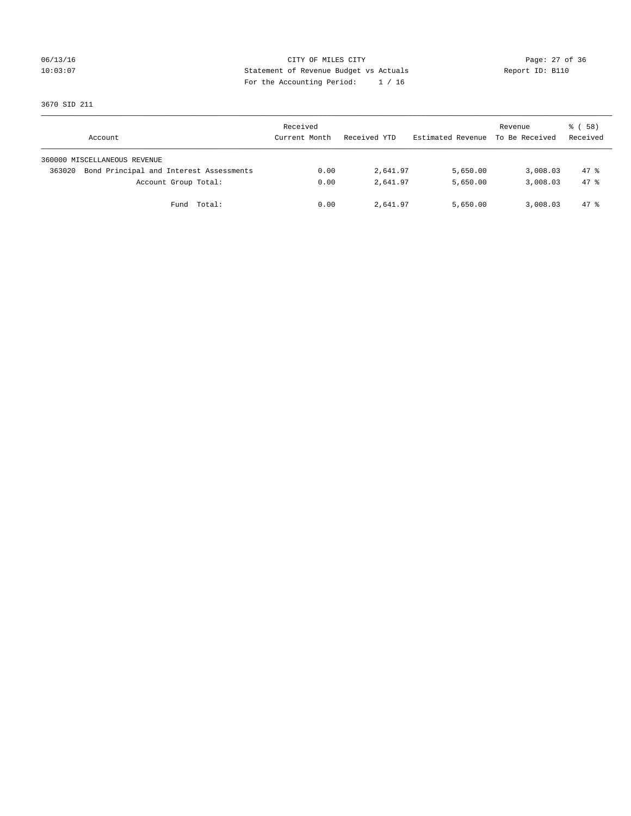## 06/13/16 Page: 27 of 36 10:03:07 Statement of Revenue Budget vs Actuals Report ID: B110 For the Accounting Period: 1 / 16

3670 SID 211

| Account                                           | Received<br>Current Month | Received YTD | Estimated Revenue | Revenue<br>To Be Received | 8 ( 58 )<br>Received |
|---------------------------------------------------|---------------------------|--------------|-------------------|---------------------------|----------------------|
| 360000 MISCELLANEOUS REVENUE                      |                           |              |                   |                           |                      |
| Bond Principal and Interest Assessments<br>363020 | 0.00                      | 2,641.97     | 5,650.00          | 3,008.03                  | $47*$                |
| Account Group Total:                              | 0.00                      | 2,641.97     | 5,650.00          | 3,008.03                  | $47*$                |
| Total:<br>Fund                                    | 0.00                      | 2,641.97     | 5,650.00          | 3,008.03                  | 47 %                 |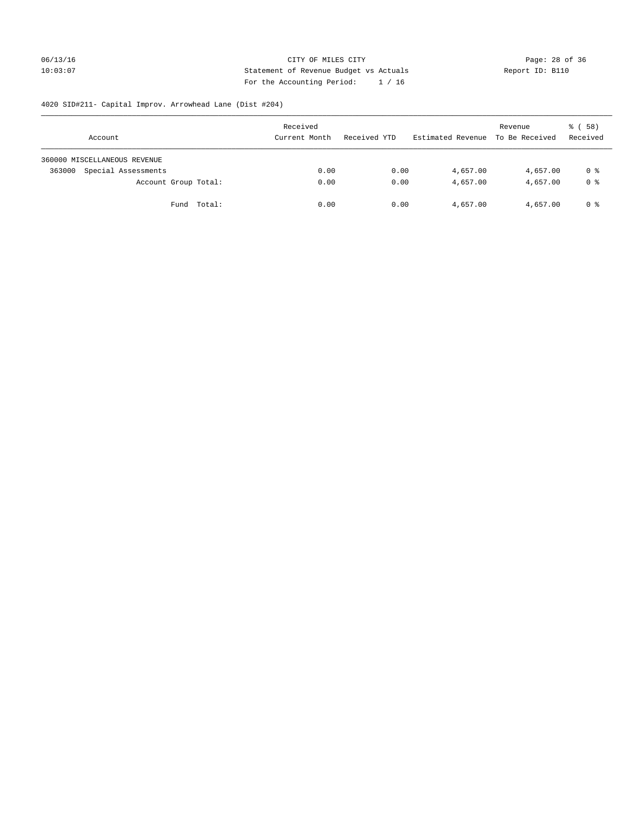## 06/13/16 Page: 28 of 36 10:03:07 Statement of Revenue Budget vs Actuals Report ID: B110 For the Accounting Period: 1 / 16

# 4020 SID#211- Capital Improv. Arrowhead Lane (Dist #204)

| Account                       | Received<br>Current Month | Received YTD | Estimated Revenue | Revenue<br>To Be Received | 8 ( 58 )<br>Received |
|-------------------------------|---------------------------|--------------|-------------------|---------------------------|----------------------|
| 360000 MISCELLANEOUS REVENUE  |                           |              |                   |                           |                      |
| Special Assessments<br>363000 | 0.00                      | 0.00         | 4,657.00          | 4,657.00                  | 0 %                  |
| Account Group Total:          | 0.00                      | 0.00         | 4,657.00          | 4,657.00                  | 0 %                  |
| Fund Total:                   | 0.00                      | 0.00         | 4,657.00          | 4,657.00                  | 0 %                  |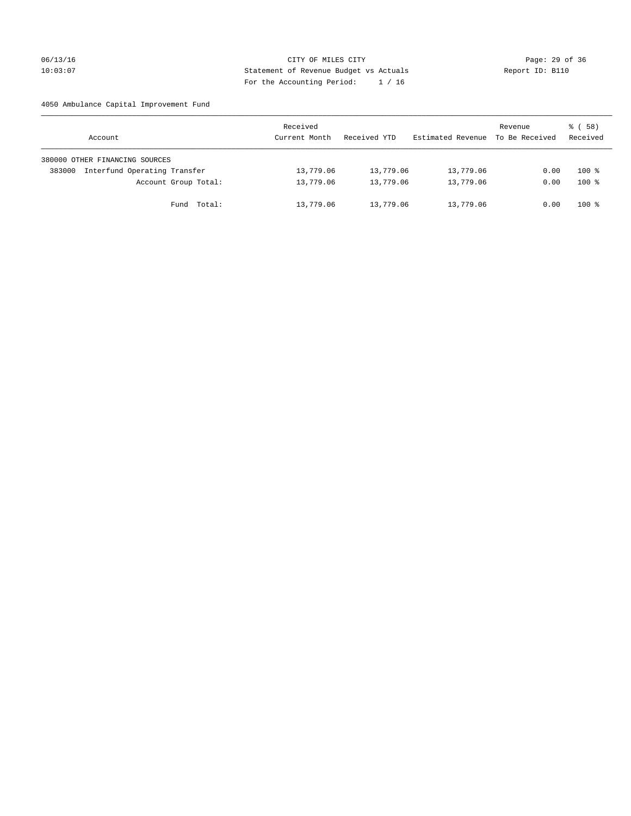## 06/13/16 Page: 29 of 36 10:03:07 Statement of Revenue Budget vs Actuals Report ID: B110 For the Accounting Period: 1 / 16

4050 Ambulance Capital Improvement Fund

| Account                                | Received<br>Current Month | Received YTD | Estimated Revenue | Revenue<br>To Be Received | 8 ( 58 )<br>Received |
|----------------------------------------|---------------------------|--------------|-------------------|---------------------------|----------------------|
| 380000 OTHER FINANCING SOURCES         |                           |              |                   |                           |                      |
| Interfund Operating Transfer<br>383000 | 13,779.06                 | 13,779.06    | 13,779.06         | 0.00                      | $100*$               |
| Account Group Total:                   | 13,779.06                 | 13,779.06    | 13,779.06         | 0.00                      | $100*$               |
| Fund Total:                            | 13,779.06                 | 13,779.06    | 13,779.06         | 0.00                      | $100*$               |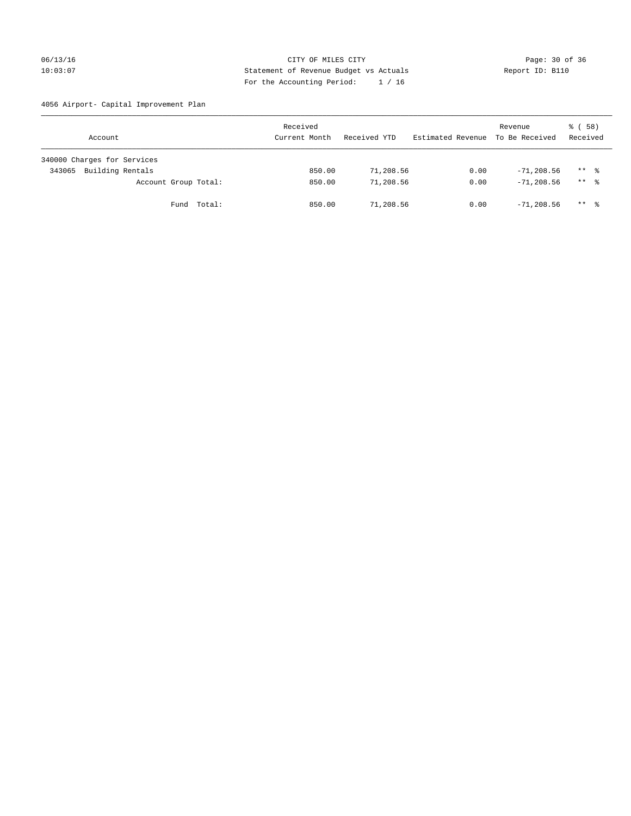## 06/13/16 Page: 30 of 36 10:03:07 Statement of Revenue Budget vs Actuals Report ID: B110 For the Accounting Period: 1 / 16

4056 Airport- Capital Improvement Plan

| Account                     | Received<br>Current Month | Received YTD | Estimated Revenue | Revenue<br>To Be Received | 8 ( 58 )<br>Received |
|-----------------------------|---------------------------|--------------|-------------------|---------------------------|----------------------|
| 340000 Charges for Services |                           |              |                   |                           |                      |
| Building Rentals<br>343065  | 850.00                    | 71,208.56    | 0.00              | $-71,208.56$              | $***$ %              |
| Account Group Total:        | 850.00                    | 71,208.56    | 0.00              | $-71, 208, 56$            | $***$ %              |
| Total:<br>Fund              | 850.00                    | 71,208.56    | 0.00              | $-71,208.56$              | $***$ %              |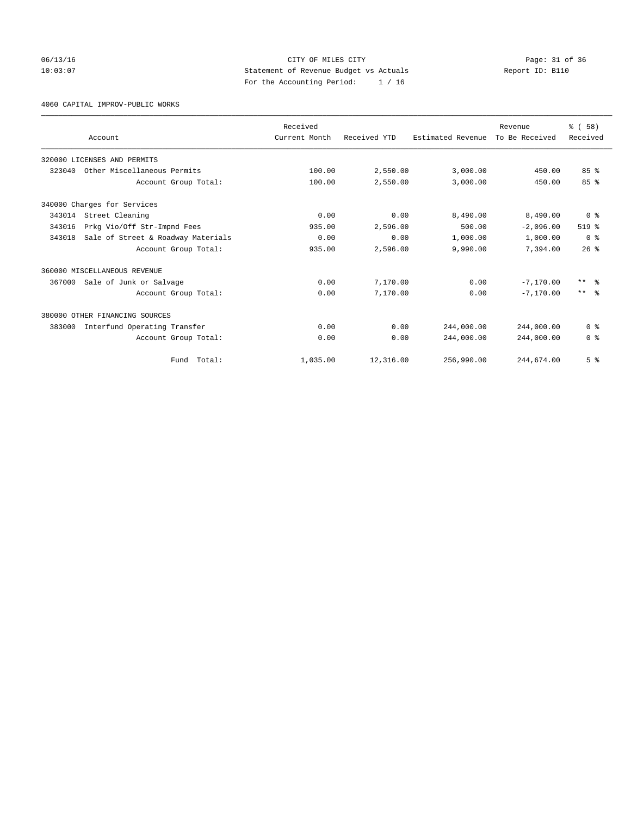## 06/13/16 Page: 31 of 36 10:03:07 Statement of Revenue Budget vs Actuals Report ID: B110 For the Accounting Period: 1 / 16

4060 CAPITAL IMPROV-PUBLIC WORKS

|        |                                    | Received      |              |                   | Revenue        | % (58)                  |
|--------|------------------------------------|---------------|--------------|-------------------|----------------|-------------------------|
|        | Account                            | Current Month | Received YTD | Estimated Revenue | To Be Received | Received                |
|        | 320000 LICENSES AND PERMITS        |               |              |                   |                |                         |
| 323040 | Other Miscellaneous Permits        | 100.00        | 2,550.00     | 3,000.00          | 450.00         | 85%                     |
|        | Account Group Total:               | 100.00        | 2,550.00     | 3,000.00          | 450.00         | 85%                     |
|        | 340000 Charges for Services        |               |              |                   |                |                         |
| 343014 | Street Cleaning                    | 0.00          | 0.00         | 8,490.00          | 8,490.00       | 0 <sup>8</sup>          |
| 343016 | Prkg Vio/Off Str-Impnd Fees        | 935.00        | 2,596.00     | 500.00            | $-2,096.00$    | $519$ %                 |
| 343018 | Sale of Street & Roadway Materials | 0.00          | 0.00         | 1,000.00          | 1,000.00       | 0 <sup>8</sup>          |
|        | Account Group Total:               | 935.00        | 2,596.00     | 9,990.00          | 7.394.00       | $26$ $\frac{6}{3}$      |
|        | 360000 MISCELLANEOUS REVENUE       |               |              |                   |                |                         |
| 367000 | Sale of Junk or Salvage            | 0.00          | 7,170.00     | 0.00              | $-7, 170.00$   | ** %                    |
|        | Account Group Total:               | 0.00          | 7,170.00     | 0.00              | $-7.170.00$    | $***$ $=$ $\frac{6}{5}$ |
|        | 380000 OTHER FINANCING SOURCES     |               |              |                   |                |                         |
| 383000 | Interfund Operating Transfer       | 0.00          | 0.00         | 244,000.00        | 244,000.00     | 0 <sup>8</sup>          |
|        | Account Group Total:               | 0.00          | 0.00         | 244,000.00        | 244,000.00     | 0 <sup>8</sup>          |
|        | Fund Total:                        | 1,035.00      | 12,316.00    | 256,990.00        | 244,674.00     | 5 <sup>°</sup>          |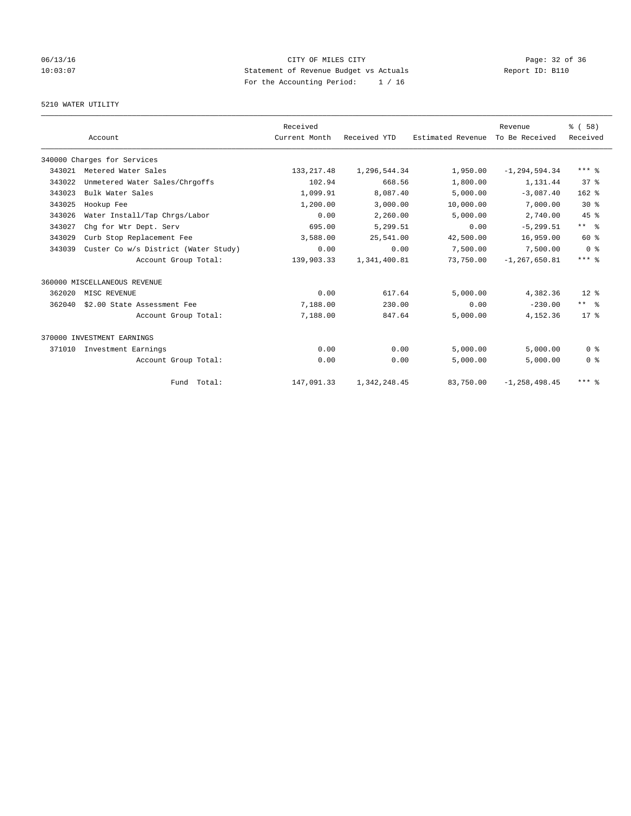## 06/13/16 Page: 32 of 36 10:03:07 Statement of Revenue Budget vs Actuals Report ID: B110 For the Accounting Period: 1 / 16

## 5210 WATER UTILITY

|        |                                      | Received      |              |                   | Revenue           | % (58)                  |
|--------|--------------------------------------|---------------|--------------|-------------------|-------------------|-------------------------|
|        | Account                              | Current Month | Received YTD | Estimated Revenue | To Be Received    | Received                |
|        | 340000 Charges for Services          |               |              |                   |                   |                         |
| 343021 | Metered Water Sales                  | 133, 217.48   | 1,296,544.34 | 1,950.00          | $-1, 294, 594.34$ | $***$ $%$               |
| 343022 | Unmetered Water Sales/Chrgoffs       | 102.94        | 668.56       | 1,800.00          | 1,131.44          | 37%                     |
| 343023 | Bulk Water Sales                     | 1,099.91      | 8,087.40     | 5,000.00          | $-3,087.40$       | $162$ %                 |
| 343025 | Hookup Fee                           | 1,200.00      | 3,000.00     | 10,000.00         | 7,000.00          | $30*$                   |
| 343026 | Water Install/Tap Chrgs/Labor        | 0.00          | 2,260.00     | 5,000.00          | 2,740.00          | 45%                     |
| 343027 | Chq for Wtr Dept. Serv               | 695.00        | 5,299.51     | 0.00              | $-5, 299.51$      | $***$ $=$ $\frac{6}{5}$ |
| 343029 | Curb Stop Replacement Fee            | 3,588.00      | 25,541.00    | 42,500.00         | 16,959.00         | 60 %                    |
| 343039 | Custer Co w/s District (Water Study) | 0.00          | 0.00         | 7,500.00          | 7,500.00          | 0 <sup>8</sup>          |
|        | Account Group Total:                 | 139,903.33    | 1,341,400.81 | 73,750.00         | $-1, 267, 650.81$ | $***$ $%$               |
|        | 360000 MISCELLANEOUS REVENUE         |               |              |                   |                   |                         |
| 362020 | MISC REVENUE                         | 0.00          | 617.64       | 5,000.00          | 4,382.36          | $12*$                   |
| 362040 | \$2.00 State Assessment Fee          | 7,188.00      | 230.00       | 0.00              | $-230.00$         | $***$ $ -$              |
|        | Account Group Total:                 | 7,188.00      | 847.64       | 5,000.00          | 4,152.36          | $17*$                   |
|        | 370000 INVESTMENT EARNINGS           |               |              |                   |                   |                         |
| 371010 | Investment Earnings                  | 0.00          | 0.00         | 5.000.00          | 5.000.00          | 0 <sup>8</sup>          |
|        | Account Group Total:                 | 0.00          | 0.00         | 5,000.00          | 5,000.00          | 0 <sup>8</sup>          |
|        | Fund Total:                          | 147,091.33    | 1,342,248.45 | 83,750.00         | $-1, 258, 498.45$ | $***$ $%$               |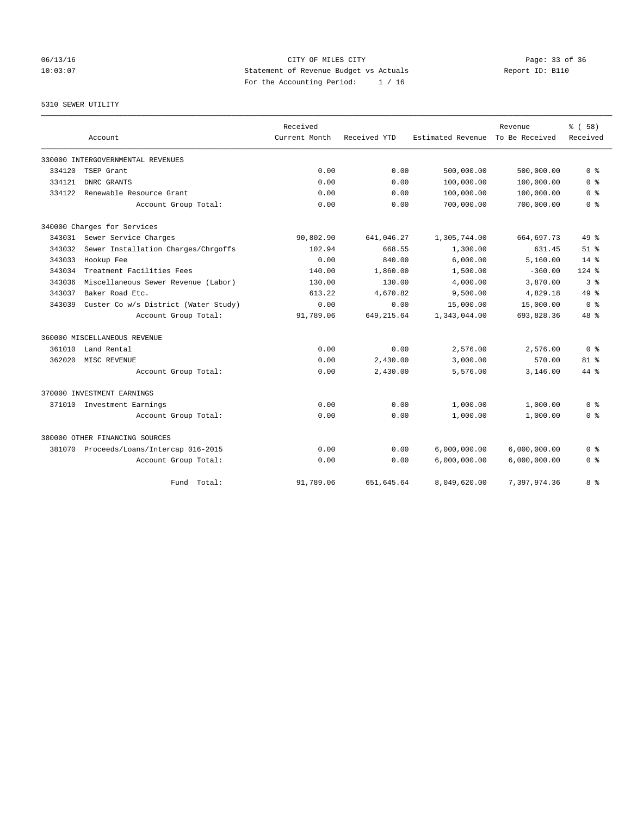06/13/16 Page: 33 of 36 10:03:07 Statement of Revenue Budget vs Actuals Report ID: B110 For the Accounting Period: 1 / 16

### 5310 SEWER UTILITY

|        |                                      | Received      |              |                   | Revenue        | 8 ( 58 )       |
|--------|--------------------------------------|---------------|--------------|-------------------|----------------|----------------|
|        | Account                              | Current Month | Received YTD | Estimated Revenue | To Be Received | Received       |
|        | 330000 INTERGOVERNMENTAL REVENUES    |               |              |                   |                |                |
| 334120 | TSEP Grant                           | 0.00          | 0.00         | 500,000.00        | 500,000.00     | 0 <sup>8</sup> |
| 334121 | DNRC GRANTS                          | 0.00          | 0.00         | 100,000.00        | 100,000.00     | 0 <sup>8</sup> |
| 334122 | Renewable Resource Grant             | 0.00          | 0.00         | 100,000.00        | 100,000.00     | 0 <sup>8</sup> |
|        | Account Group Total:                 | 0.00          | 0.00         | 700,000.00        | 700,000.00     | 0 <sup>8</sup> |
|        | 340000 Charges for Services          |               |              |                   |                |                |
| 343031 | Sewer Service Charges                | 90,802.90     | 641,046.27   | 1,305,744.00      | 664,697.73     | $49*$          |
| 343032 | Sewer Installation Charges/Chrgoffs  | 102.94        | 668.55       | 1,300.00          | 631.45         | $51$ $%$       |
| 343033 | Hookup Fee                           | 0.00          | 840.00       | 6,000.00          | 5,160.00       | $14*$          |
| 343034 | Treatment Facilities Fees            | 140.00        | 1,860.00     | 1,500.00          | $-360.00$      | $124$ %        |
| 343036 | Miscellaneous Sewer Revenue (Labor)  | 130.00        | 130.00       | 4,000.00          | 3,870.00       | 3%             |
| 343037 | Baker Road Etc.                      | 613.22        | 4,670.82     | 9,500.00          | 4,829.18       | 49 %           |
| 343039 | Custer Co w/s District (Water Study) | 0.00          | 0.00         | 15,000.00         | 15,000.00      | 0 <sup>8</sup> |
|        | Account Group Total:                 | 91,789.06     | 649, 215.64  | 1,343,044.00      | 693,828.36     | $48*$          |
|        | 360000 MISCELLANEOUS REVENUE         |               |              |                   |                |                |
| 361010 | Land Rental                          | 0.00          | 0.00         | 2,576.00          | 2,576.00       | 0 <sup>8</sup> |
| 362020 | MISC REVENUE                         | 0.00          | 2,430.00     | 3,000.00          | 570.00         | $81$ %         |
|        | Account Group Total:                 | 0.00          | 2,430.00     | 5,576.00          | 3,146.00       | $44*$          |
|        | 370000 INVESTMENT EARNINGS           |               |              |                   |                |                |
| 371010 | Investment Earnings                  | 0.00          | 0.00         | 1,000.00          | 1,000.00       | 0 <sup>8</sup> |
|        | Account Group Total:                 | 0.00          | 0.00         | 1,000.00          | 1,000.00       | 0 <sup>8</sup> |
|        | 380000 OTHER FINANCING SOURCES       |               |              |                   |                |                |
| 381070 | Proceeds/Loans/Intercap 016-2015     | 0.00          | 0.00         | 6,000,000.00      | 6,000,000.00   | 0 <sup>8</sup> |
|        | Account Group Total:                 | 0.00          | 0.00         | 6,000,000.00      | 6,000,000.00   | 0 <sup>8</sup> |
|        | Fund Total:                          | 91,789.06     | 651,645.64   | 8,049,620.00      | 7,397,974.36   | 8 %            |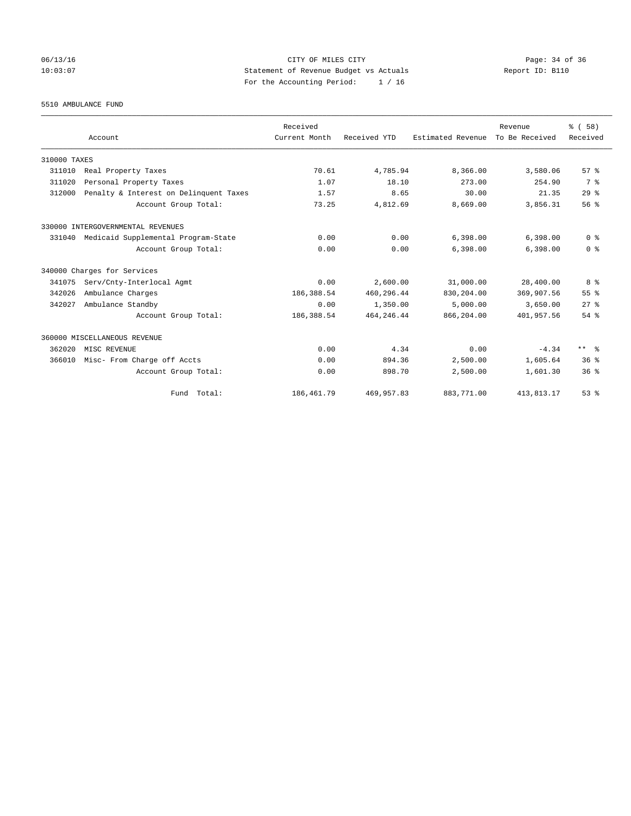## 06/13/16 Page: 34 of 36 10:03:07 Statement of Revenue Budget vs Actuals Report ID: B110 For the Accounting Period: 1 / 16

5510 AMBULANCE FUND

|              |                                        | Received      |              |                   | Revenue        | % (58)          |
|--------------|----------------------------------------|---------------|--------------|-------------------|----------------|-----------------|
|              | Account                                | Current Month | Received YTD | Estimated Revenue | To Be Received | Received        |
| 310000 TAXES |                                        |               |              |                   |                |                 |
| 311010       | Real Property Taxes                    | 70.61         | 4,785.94     | 8,366.00          | 3,580.06       | 57%             |
| 311020       | Personal Property Taxes                | 1.07          | 18.10        | 273.00            | 254.90         | 7 %             |
| 312000       | Penalty & Interest on Delinquent Taxes | 1.57          | 8.65         | 30.00             | 21.35          | 29%             |
|              | Account Group Total:                   | 73.25         | 4,812.69     | 8,669.00          | 3,856.31       | 56%             |
|              | 330000 INTERGOVERNMENTAL REVENUES      |               |              |                   |                |                 |
| 331040       | Medicaid Supplemental Program-State    | 0.00          | 0.00         | 6,398.00          | 6,398.00       | 0 <sup>8</sup>  |
|              | Account Group Total:                   | 0.00          | 0.00         | 6,398.00          | 6,398.00       | 0 <sup>8</sup>  |
|              | 340000 Charges for Services            |               |              |                   |                |                 |
| 341075       | Serv/Cnty-Interlocal Agmt              | 0.00          | 2,600.00     | 31,000.00         | 28,400.00      | 8 %             |
| 342026       | Ambulance Charges                      | 186,388.54    | 460,296.44   | 830,204.00        | 369,907.56     | 55%             |
| 342027       | Ambulance Standby                      | 0.00          | 1,350.00     | 5,000.00          | 3,650.00       | $27$ $%$        |
|              | Account Group Total:                   | 186,388.54    | 464, 246.44  | 866,204.00        | 401,957.56     | $54$ $%$        |
|              | 360000 MISCELLANEOUS REVENUE           |               |              |                   |                |                 |
| 362020       | MISC REVENUE                           | 0.00          | 4.34         | 0.00              | $-4.34$        | ** %            |
| 366010       | Misc- From Charge off Accts            | 0.00          | 894.36       | 2,500.00          | 1,605.64       | 36 <sup>8</sup> |
|              | Account Group Total:                   | 0.00          | 898.70       | 2,500.00          | 1,601.30       | $36*$           |
|              | Fund Total:                            | 186, 461.79   | 469,957.83   | 883,771.00        | 413,813.17     | 53%             |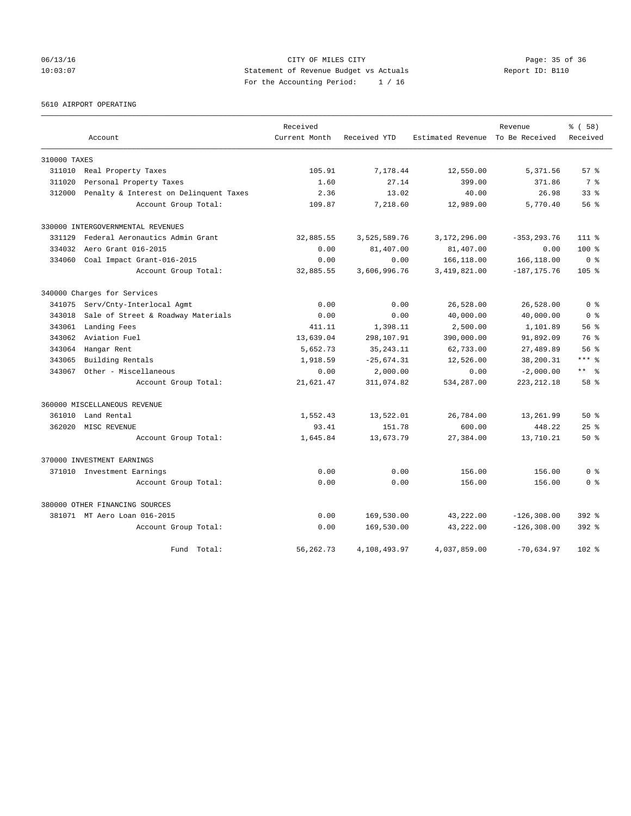## 06/13/16 Page: 35 of 36 10:03:07 Statement of Revenue Budget vs Actuals Report ID: B110 For the Accounting Period: 1 / 16

5610 AIRPORT OPERATING

|              |                                        | Received      |              |                                  | Revenue        | % (58)           |
|--------------|----------------------------------------|---------------|--------------|----------------------------------|----------------|------------------|
|              | Account                                | Current Month | Received YTD | Estimated Revenue To Be Received |                | Received         |
| 310000 TAXES |                                        |               |              |                                  |                |                  |
| 311010       | Real Property Taxes                    | 105.91        | 7,178.44     | 12,550.00                        | 5,371.56       | 57%              |
| 311020       | Personal Property Taxes                | 1.60          | 27.14        | 399.00                           | 371.86         | 7 %              |
| 312000       | Penalty & Interest on Delinquent Taxes | 2.36          | 13.02        | 40.00                            | 26.98          | 33 <sup>8</sup>  |
|              | Account Group Total:                   | 109.87        | 7,218.60     | 12,989.00                        | 5,770.40       | 56%              |
|              | 330000 INTERGOVERNMENTAL REVENUES      |               |              |                                  |                |                  |
| 331129       | Federal Aeronautics Admin Grant        | 32,885.55     | 3,525,589.76 | 3,172,296.00                     | $-353, 293.76$ | $111$ %          |
| 334032       | Aero Grant 016-2015                    | 0.00          | 81,407.00    | 81,407.00                        | 0.00           | $100*$           |
| 334060       | Coal Impact Grant-016-2015             | 0.00          | 0.00         | 166,118.00                       | 166,118.00     | 0 <sup>8</sup>   |
|              | Account Group Total:                   | 32,885.55     | 3,606,996.76 | 3,419,821.00                     | $-187, 175.76$ | 105 <sub>8</sub> |
|              | 340000 Charges for Services            |               |              |                                  |                |                  |
| 341075       | Serv/Cnty-Interlocal Agmt              | 0.00          | 0.00         | 26,528.00                        | 26,528.00      | 0 <sup>8</sup>   |
| 343018       | Sale of Street & Roadway Materials     | 0.00          | 0.00         | 40,000.00                        | 40,000.00      | 0 <sup>8</sup>   |
| 343061       | Landing Fees                           | 411.11        | 1,398.11     | 2,500.00                         | 1,101.89       | 56%              |
| 343062       | Aviation Fuel                          | 13,639.04     | 298,107.91   | 390,000.00                       | 91,892.09      | 76 %             |
| 343064       | Hangar Rent                            | 5,652.73      | 35, 243. 11  | 62,733.00                        | 27,489.89      | 56 <sup>8</sup>  |
| 343065       | Building Rentals                       | 1,918.59      | $-25,674.31$ | 12,526.00                        | 38,200.31      | $***$ $_{8}$     |
| 343067       | Other - Miscellaneous                  | 0.00          | 2,000.00     | 0.00                             | $-2,000.00$    | $***$ $=$        |
|              | Account Group Total:                   | 21,621.47     | 311,074.82   | 534,287.00                       | 223, 212.18    | 58 %             |
|              | 360000 MISCELLANEOUS REVENUE           |               |              |                                  |                |                  |
| 361010       | Land Rental                            | 1,552.43      | 13,522.01    | 26,784.00                        | 13,261.99      | $50*$            |
| 362020       | MISC REVENUE                           | 93.41         | 151.78       | 600.00                           | 448.22         | $25$ $%$         |
|              | Account Group Total:                   | 1,645.84      | 13,673.79    | 27,384.00                        | 13,710.21      | $50*$            |
|              | 370000 INVESTMENT EARNINGS             |               |              |                                  |                |                  |
|              | 371010 Investment Earnings             | 0.00          | 0.00         | 156.00                           | 156.00         | 0 <sup>8</sup>   |
|              | Account Group Total:                   | 0.00          | 0.00         | 156.00                           | 156.00         | 0 <sup>8</sup>   |
|              | 380000 OTHER FINANCING SOURCES         |               |              |                                  |                |                  |
|              | 381071 MT Aero Loan 016-2015           | 0.00          | 169,530.00   | 43,222.00                        | $-126, 308.00$ | $392$ $%$        |
|              | Account Group Total:                   | 0.00          | 169,530.00   | 43,222.00                        | $-126, 308.00$ | $392$ $%$        |
|              | Fund<br>Total:                         | 56, 262. 73   | 4,108,493.97 | 4,037,859.00                     | $-70,634.97$   | $102$ %          |